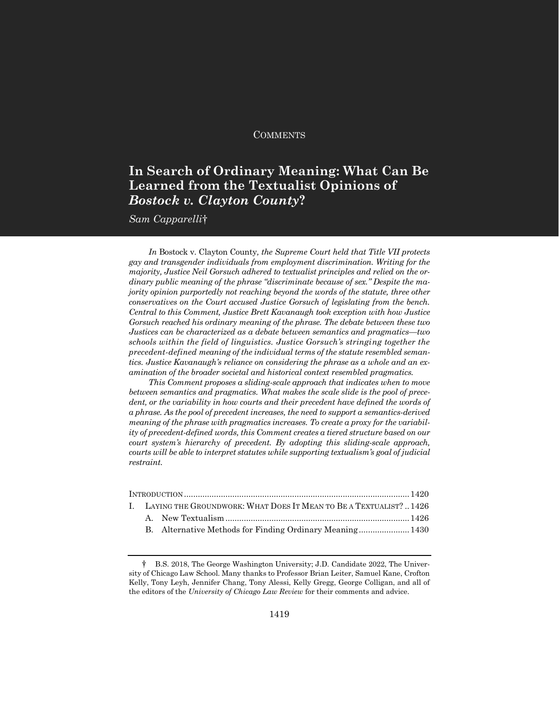### **COMMENTS**

# **In Search of Ordinary Meaning: What Can Be Learned from the Textualist Opinions of**  *Bostock v. Clayton County***?**

*Sam Capparelli*†

*In* Bostock v. Clayton County*, the Supreme Court held that Title VII protects gay and transgender individuals from employment discrimination. Writing for the majority, Justice Neil Gorsuch adhered to textualist principles and relied on the ordinary public meaning of the phrase "discriminate because of sex." Despite the majority opinion purportedly not reaching beyond the words of the statute, three other conservatives on the Court accused Justice Gorsuch of legislating from the bench. Central to this Comment, Justice Brett Kavanaugh took exception with how Justice Gorsuch reached his ordinary meaning of the phrase. The debate between these two Justices can be characterized as a debate between semantics and pragmatics—two schools within the field of linguistics. Justice Gorsuch's stringing together the precedent-defined meaning of the individual terms of the statute resembled semantics. Justice Kavanaugh's reliance on considering the phrase as a whole and an examination of the broader societal and historical context resembled pragmatics.*

*This Comment proposes a sliding-scale approach that indicates when to move between semantics and pragmatics. What makes the scale slide is the pool of prece*dent, or the variability in how courts and their precedent have defined the words of *a phrase. As the pool of precedent increases, the need to support a semantics-derived meaning of the phrase with pragmatics increases. To create a proxy for the variability of precedent-defined words, this Comment creates a tiered structure based on our court system's hierarchy of precedent. By adopting this sliding-scale approach, courts will be able to interpret statutes while supporting textualism's goal of judicial restraint.*

|  | I. LAYING THE GROUNDWORK: WHAT DOES IT MEAN TO BE A TEXTUALIST?  1426 |  |  |  |  |  |  |
|--|-----------------------------------------------------------------------|--|--|--|--|--|--|
|  |                                                                       |  |  |  |  |  |  |
|  |                                                                       |  |  |  |  |  |  |
|  |                                                                       |  |  |  |  |  |  |

<sup>†</sup> B.S. 2018, The George Washington University; J.D. Candidate 2022, The University of Chicago Law School. Many thanks to Professor Brian Leiter, Samuel Kane, Crofton Kelly, Tony Leyh, Jennifer Chang, Tony Alessi, Kelly Gregg, George Colligan, and all of the editors of the *University of Chicago Law Review* for their comments and advice.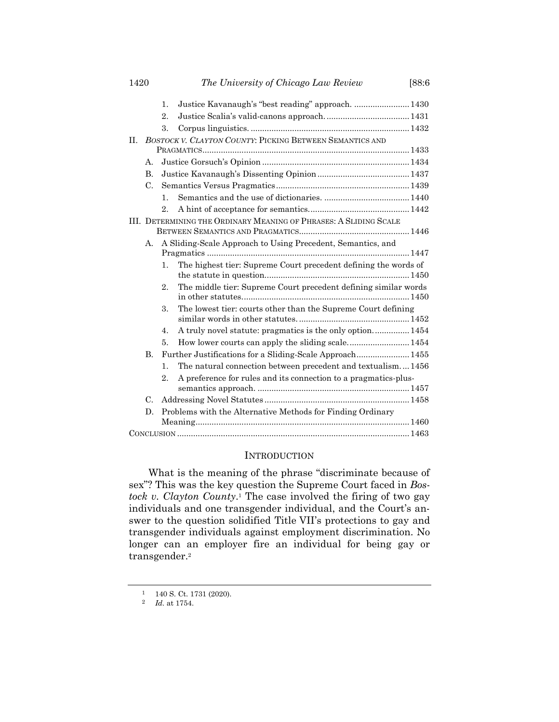| 1420    | The University of Chicago Law Review                     |                                                                   | [88:6]                                                          |  |  |  |
|---------|----------------------------------------------------------|-------------------------------------------------------------------|-----------------------------------------------------------------|--|--|--|
|         |                                                          | 1.                                                                | Justice Kavanaugh's "best reading" approach.  1430              |  |  |  |
|         |                                                          | $2$ .                                                             |                                                                 |  |  |  |
|         |                                                          | 3.                                                                |                                                                 |  |  |  |
| $\Pi$ . | BOSTOCK V. CLAYTON COUNTY: PICKING BETWEEN SEMANTICS AND |                                                                   |                                                                 |  |  |  |
|         |                                                          |                                                                   |                                                                 |  |  |  |
|         | А.                                                       |                                                                   |                                                                 |  |  |  |
|         | <b>B.</b>                                                |                                                                   |                                                                 |  |  |  |
|         | C.                                                       |                                                                   |                                                                 |  |  |  |
|         |                                                          | $\mathbf{1}$ .                                                    |                                                                 |  |  |  |
|         |                                                          | 2.                                                                |                                                                 |  |  |  |
|         |                                                          | III. DETERMINING THE ORDINARY MEANING OF PHRASES: A SLIDING SCALE |                                                                 |  |  |  |
|         | A.                                                       | A Sliding-Scale Approach to Using Precedent, Semantics, and       |                                                                 |  |  |  |
|         |                                                          | $\mathbf{1}$ .                                                    | The highest tier: Supreme Court precedent defining the words of |  |  |  |
|         |                                                          | 2.                                                                | The middle tier: Supreme Court precedent defining similar words |  |  |  |
|         |                                                          | 3.                                                                | The lowest tier: courts other than the Supreme Court defining   |  |  |  |
|         |                                                          | 4.                                                                | A truly novel statute: pragmatics is the only option 1454       |  |  |  |
|         |                                                          | 5.                                                                |                                                                 |  |  |  |
|         | <b>B.</b>                                                |                                                                   | Further Justifications for a Sliding-Scale Approach 1455        |  |  |  |
|         |                                                          | $\mathbf{1}$ .                                                    | The natural connection between precedent and textualism1456     |  |  |  |
|         |                                                          | 2.                                                                | A preference for rules and its connection to a pragmatics-plus- |  |  |  |
|         | $\mathcal{C}$ .                                          |                                                                   |                                                                 |  |  |  |
|         | D.                                                       |                                                                   | Problems with the Alternative Methods for Finding Ordinary      |  |  |  |
|         |                                                          |                                                                   |                                                                 |  |  |  |

### **INTRODUCTION**

What is the meaning of the phrase "discriminate because of sex"? This was the key question the Supreme Court faced in *Bostock v. Clayton County*. <sup>1</sup> The case involved the firing of two gay individuals and one transgender individual, and the Court's answer to the question solidified Title VII's protections to gay and transgender individuals against employment discrimination. No longer can an employer fire an individual for being gay or transgender.<sup>2</sup>

 $1 - 140$  S. Ct. 1731 (2020).

<sup>2</sup> *Id.* at 1754.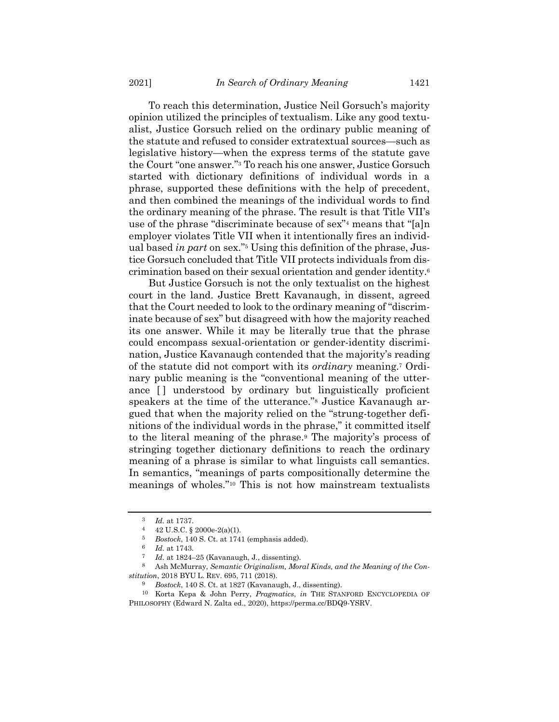To reach this determination, Justice Neil Gorsuch's majority opinion utilized the principles of textualism. Like any good textualist, Justice Gorsuch relied on the ordinary public meaning of the statute and refused to consider extratextual sources—such as legislative history—when the express terms of the statute gave the Court "one answer."<sup>3</sup> To reach his one answer, Justice Gorsuch started with dictionary definitions of individual words in a phrase, supported these definitions with the help of precedent, and then combined the meanings of the individual words to find the ordinary meaning of the phrase. The result is that Title VII's use of the phrase "discriminate because of sex"<sup>4</sup> means that "[a]n employer violates Title VII when it intentionally fires an individual based *in part* on sex."<sup>5</sup> Using this definition of the phrase, Justice Gorsuch concluded that Title VII protects individuals from discrimination based on their sexual orientation and gender identity.<sup>6</sup>

But Justice Gorsuch is not the only textualist on the highest court in the land. Justice Brett Kavanaugh, in dissent, agreed that the Court needed to look to the ordinary meaning of "discriminate because of sex" but disagreed with how the majority reached its one answer. While it may be literally true that the phrase could encompass sexual-orientation or gender-identity discrimination, Justice Kavanaugh contended that the majority's reading of the statute did not comport with its *ordinary* meaning.<sup>7</sup> Ordinary public meaning is the "conventional meaning of the utterance [] understood by ordinary but linguistically proficient speakers at the time of the utterance."<sup>8</sup> Justice Kavanaugh argued that when the majority relied on the "strung-together definitions of the individual words in the phrase," it committed itself to the literal meaning of the phrase.<sup>9</sup> The majority's process of stringing together dictionary definitions to reach the ordinary meaning of a phrase is similar to what linguists call semantics. In semantics, "meanings of parts compositionally determine the meanings of wholes."<sup>10</sup> This is not how mainstream textualists

<span id="page-2-0"></span><sup>3</sup> *Id.* at 1737.

<sup>4</sup> 42 U.S.C. § 2000e-2(a)(1).

<sup>5</sup> *Bostock*, 140 S. Ct. at 1741 (emphasis added).

<sup>6</sup> *Id.* at 1743.

<sup>7</sup> *Id.* at 1824–25 (Kavanaugh, J., dissenting).

<sup>8</sup> Ash McMurray, *Semantic Originalism, Moral Kinds, and the Meaning of the Constitution*, 2018 BYU L. REV. 695, 711 (2018).

<sup>9</sup> *Bostock*, 140 S. Ct. at 1827 (Kavanaugh, J., dissenting).

<sup>10</sup> Korta Kepa & John Perry, *Pragmatics*, *in* THE STANFORD ENCYCLOPEDIA OF PHILOSOPHY (Edward N. Zalta ed., 2020), https://perma.cc/BDQ9-YSRV.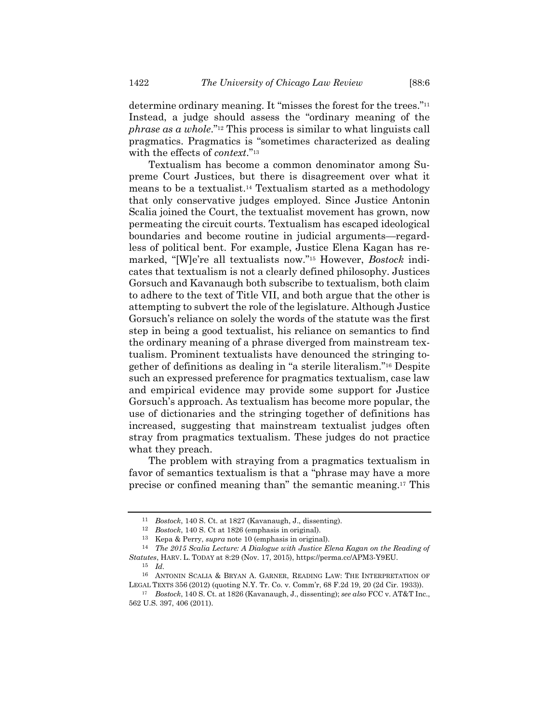determine ordinary meaning. It "misses the forest for the trees."<sup>11</sup> Instead, a judge should assess the "ordinary meaning of the *phrase as a whole*."<sup>12</sup> This process is similar to what linguists call pragmatics. Pragmatics is "sometimes characterized as dealing with the effects of *context*."<sup>13</sup>

Textualism has become a common denominator among Supreme Court Justices, but there is disagreement over what it means to be a textualist. <sup>14</sup> Textualism started as a methodology that only conservative judges employed. Since Justice Antonin Scalia joined the Court, the textualist movement has grown, now permeating the circuit courts. Textualism has escaped ideological boundaries and become routine in judicial arguments—regardless of political bent. For example, Justice Elena Kagan has remarked, "[W]e're all textualists now."<sup>15</sup> However, *Bostock* indicates that textualism is not a clearly defined philosophy. Justices Gorsuch and Kavanaugh both subscribe to textualism, both claim to adhere to the text of Title VII, and both argue that the other is attempting to subvert the role of the legislature. Although Justice Gorsuch's reliance on solely the words of the statute was the first step in being a good textualist, his reliance on semantics to find the ordinary meaning of a phrase diverged from mainstream textualism. Prominent textualists have denounced the stringing together of definitions as dealing in "a sterile literalism."<sup>16</sup> Despite such an expressed preference for pragmatics textualism, case law and empirical evidence may provide some support for Justice Gorsuch's approach. As textualism has become more popular, the use of dictionaries and the stringing together of definitions has increased, suggesting that mainstream textualist judges often stray from pragmatics textualism. These judges do not practice what they preach.

<span id="page-3-0"></span>The problem with straying from a pragmatics textualism in favor of semantics textualism is that a "phrase may have a more precise or confined meaning than" the semantic meaning. <sup>17</sup> This

<sup>11</sup> *Bostock*, 140 S. Ct. at 1827 (Kavanaugh, J., dissenting).

<sup>12</sup> *Bostock*, 140 S. Ct at 1826 (emphasis in original).

<sup>13</sup> Kepa & Perry, *supra* note [10](#page-2-0) (emphasis in original).

<sup>14</sup> *The 2015 Scalia Lecture: A Dialogue with Justice Elena Kagan on the Reading of Statutes*, HARV. L. TODAY at 8:29 (Nov. 17, 2015), https://perma.cc/APM3-Y9EU. 15 *Id.*

<sup>16</sup> ANTONIN SCALIA & BRYAN A. GARNER, READING LAW: THE INTERPRETATION OF LEGAL TEXTS 356 (2012) (quoting N.Y. Tr. Co. v. Comm'r, 68 F.2d 19, 20 (2d Cir. 1933)).

<sup>17</sup> *Bostock*, 140 S. Ct. at 1826 (Kavanaugh, J., dissenting); *see also* FCC v. AT&T Inc., 562 U.S. 397, 406 (2011).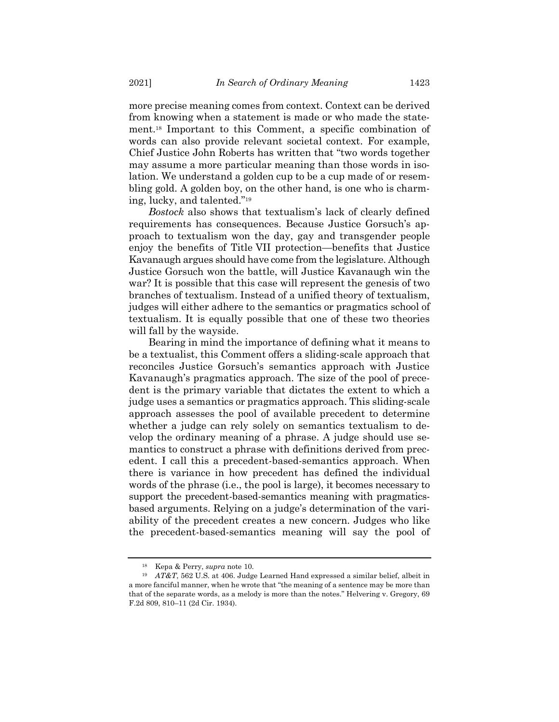more precise meaning comes from context. Context can be derived from knowing when a statement is made or who made the statement.<sup>18</sup> Important to this Comment, a specific combination of words can also provide relevant societal context. For example, Chief Justice John Roberts has written that "two words together may assume a more particular meaning than those words in isolation. We understand a golden cup to be a cup made of or resembling gold. A golden boy, on the other hand, is one who is charming, lucky, and talented."<sup>19</sup>

<span id="page-4-0"></span>*Bostock* also shows that textualism's lack of clearly defined requirements has consequences. Because Justice Gorsuch's approach to textualism won the day, gay and transgender people enjoy the benefits of Title VII protection—benefits that Justice Kavanaugh argues should have come from the legislature. Although Justice Gorsuch won the battle, will Justice Kavanaugh win the war? It is possible that this case will represent the genesis of two branches of textualism. Instead of a unified theory of textualism, judges will either adhere to the semantics or pragmatics school of textualism. It is equally possible that one of these two theories will fall by the wayside.

Bearing in mind the importance of defining what it means to be a textualist, this Comment offers a sliding-scale approach that reconciles Justice Gorsuch's semantics approach with Justice Kavanaugh's pragmatics approach. The size of the pool of precedent is the primary variable that dictates the extent to which a judge uses a semantics or pragmatics approach. This sliding-scale approach assesses the pool of available precedent to determine whether a judge can rely solely on semantics textualism to develop the ordinary meaning of a phrase. A judge should use semantics to construct a phrase with definitions derived from precedent. I call this a precedent-based-semantics approach. When there is variance in how precedent has defined the individual words of the phrase (i.e., the pool is large), it becomes necessary to support the precedent-based-semantics meaning with pragmaticsbased arguments. Relying on a judge's determination of the variability of the precedent creates a new concern. Judges who like the precedent-based-semantics meaning will say the pool of

<sup>18</sup> Kepa & Perry, *supra* note [10.](#page-2-0)

<sup>19</sup> *AT&T*, 562 U.S. at 406. Judge Learned Hand expressed a similar belief, albeit in a more fanciful manner, when he wrote that "the meaning of a sentence may be more than that of the separate words, as a melody is more than the notes." Helvering v. Gregory, 69 F.2d 809, 810–11 (2d Cir. 1934).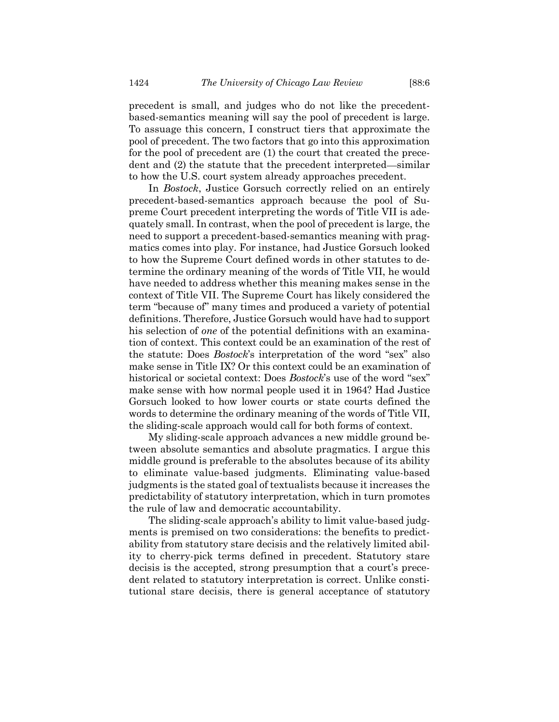precedent is small, and judges who do not like the precedentbased-semantics meaning will say the pool of precedent is large. To assuage this concern, I construct tiers that approximate the pool of precedent. The two factors that go into this approximation for the pool of precedent are (1) the court that created the precedent and (2) the statute that the precedent interpreted—similar to how the U.S. court system already approaches precedent.

In *Bostock*, Justice Gorsuch correctly relied on an entirely precedent-based-semantics approach because the pool of Supreme Court precedent interpreting the words of Title VII is adequately small. In contrast, when the pool of precedent is large, the need to support a precedent-based-semantics meaning with pragmatics comes into play. For instance, had Justice Gorsuch looked to how the Supreme Court defined words in other statutes to determine the ordinary meaning of the words of Title VII, he would have needed to address whether this meaning makes sense in the context of Title VII. The Supreme Court has likely considered the term "because of" many times and produced a variety of potential definitions. Therefore, Justice Gorsuch would have had to support his selection of *one* of the potential definitions with an examination of context. This context could be an examination of the rest of the statute: Does *Bostock*'s interpretation of the word "sex" also make sense in Title IX? Or this context could be an examination of historical or societal context: Does *Bostock*'s use of the word "sex" make sense with how normal people used it in 1964? Had Justice Gorsuch looked to how lower courts or state courts defined the words to determine the ordinary meaning of the words of Title VII, the sliding-scale approach would call for both forms of context.

My sliding-scale approach advances a new middle ground between absolute semantics and absolute pragmatics. I argue this middle ground is preferable to the absolutes because of its ability to eliminate value-based judgments. Eliminating value-based judgments is the stated goal of textualists because it increases the predictability of statutory interpretation, which in turn promotes the rule of law and democratic accountability.

The sliding-scale approach's ability to limit value-based judgments is premised on two considerations: the benefits to predictability from statutory stare decisis and the relatively limited ability to cherry-pick terms defined in precedent. Statutory stare decisis is the accepted, strong presumption that a court's precedent related to statutory interpretation is correct. Unlike constitutional stare decisis, there is general acceptance of statutory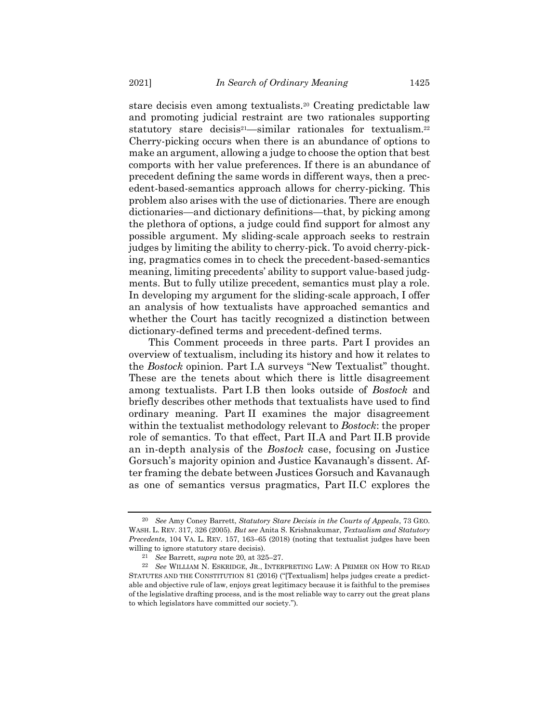<span id="page-6-1"></span>stare decisis even among textualists.<sup>20</sup> Creating predictable law and promoting judicial restraint are two rationales supporting statutory stare decisis<sup>21</sup>—similar rationales for textualism.<sup>22</sup> Cherry-picking occurs when there is an abundance of options to make an argument, allowing a judge to choose the option that best comports with her value preferences. If there is an abundance of precedent defining the same words in different ways, then a precedent-based-semantics approach allows for cherry-picking. This problem also arises with the use of dictionaries. There are enough dictionaries—and dictionary definitions—that, by picking among the plethora of options, a judge could find support for almost any possible argument. My sliding-scale approach seeks to restrain judges by limiting the ability to cherry-pick. To avoid cherry-picking, pragmatics comes in to check the precedent-based-semantics meaning, limiting precedents' ability to support value-based judgments. But to fully utilize precedent, semantics must play a role. In developing my argument for the sliding-scale approach, I offer an analysis of how textualists have approached semantics and whether the Court has tacitly recognized a distinction between dictionary-defined terms and precedent-defined terms.

This Comment proceeds in three parts. Part I provides an overview of textualism, including its history and how it relates to the *Bostock* opinion. Part I.A surveys "New Textualist" thought. These are the tenets about which there is little disagreement among textualists. Part I.B then looks outside of *Bostock* and briefly describes other methods that textualists have used to find ordinary meaning. Part II examines the major disagreement within the textualist methodology relevant to *Bostock*: the proper role of semantics. To that effect, Part II.A and Part II.B provide an in-depth analysis of the *Bostock* case, focusing on Justice Gorsuch's majority opinion and Justice Kavanaugh's dissent. After framing the debate between Justices Gorsuch and Kavanaugh as one of semantics versus pragmatics, Part II.C explores the

<span id="page-6-0"></span>

<sup>20</sup> *See* Amy Coney Barrett, *Statutory Stare Decisis in the Courts of Appeals*, 73 GEO. WASH. L. REV. 317, 326 (2005). *But see* Anita S. Krishnakumar, *Textualism and Statutory Precedents*, 104 VA. L. REV. 157, 163–65 (2018) (noting that textualist judges have been willing to ignore statutory stare decisis).

<sup>21</sup> *See* Barrett, *supra* not[e 20,](#page-6-0) at 325–27.

<sup>22</sup> *See* WILLIAM N. ESKRIDGE, JR., INTERPRETING LAW: A PRIMER ON HOW TO READ STATUTES AND THE CONSTITUTION 81 (2016) ("[Textualism] helps judges create a predictable and objective rule of law, enjoys great legitimacy because it is faithful to the premises of the legislative drafting process, and is the most reliable way to carry out the great plans to which legislators have committed our society.").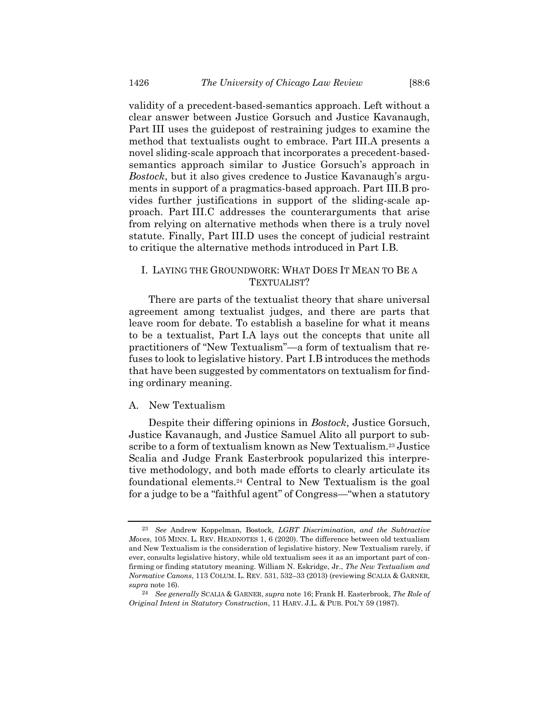validity of a precedent-based-semantics approach. Left without a clear answer between Justice Gorsuch and Justice Kavanaugh, Part III uses the guidepost of restraining judges to examine the method that textualists ought to embrace. Part III.A presents a novel sliding-scale approach that incorporates a precedent-basedsemantics approach similar to Justice Gorsuch's approach in *Bostock*, but it also gives credence to Justice Kavanaugh's arguments in support of a pragmatics-based approach. Part III.B provides further justifications in support of the sliding-scale approach. Part III.C addresses the counterarguments that arise from relying on alternative methods when there is a truly novel statute. Finally, Part III.D uses the concept of judicial restraint to critique the alternative methods introduced in Part I.B.

### I. LAYING THE GROUNDWORK: WHAT DOES IT MEAN TO BE A TEXTUALIST?

There are parts of the textualist theory that share universal agreement among textualist judges, and there are parts that leave room for debate. To establish a baseline for what it means to be a textualist, Part I.A lays out the concepts that unite all practitioners of "New Textualism"—a form of textualism that refuses to look to legislative history. Part I.B introduces the methods that have been suggested by commentators on textualism for finding ordinary meaning.

### A. New Textualism

<span id="page-7-0"></span>Despite their differing opinions in *Bostock*, Justice Gorsuch, Justice Kavanaugh, and Justice Samuel Alito all purport to subscribe to a form of textualism known as New Textualism.<sup>23</sup> Justice Scalia and Judge Frank Easterbrook popularized this interpretive methodology, and both made efforts to clearly articulate its foundational elements.<sup>24</sup> Central to New Textualism is the goal for a judge to be a "faithful agent" of Congress—"when a statutory

<span id="page-7-1"></span><sup>23</sup> *See* Andrew Koppelman, Bostock*, LGBT Discrimination, and the Subtractive Moves*, 105 MINN. L. REV. HEADNOTES 1, 6 (2020). The difference between old textualism and New Textualism is the consideration of legislative history. New Textualism rarely, if ever, consults legislative history, while old textualism sees it as an important part of confirming or finding statutory meaning. William N. Eskridge, Jr., *The New Textualism and Normative Canons*, 113 COLUM. L. REV. 531, 532–33 (2013) (reviewing SCALIA & GARNER, *supra* note [16\)](#page-3-0).

<sup>24</sup> *See generally* SCALIA & GARNER, *supra* note [16;](#page-3-0) Frank H. Easterbrook, *The Role of Original Intent in Statutory Construction*, 11 HARV. J.L. & PUB. POL'Y 59 (1987).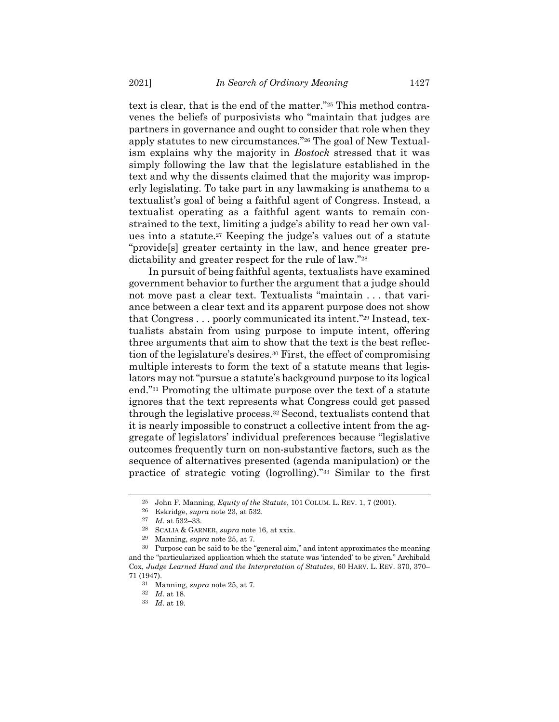<span id="page-8-0"></span>text is clear, that is the end of the matter."<sup>25</sup> This method contravenes the beliefs of purposivists who "maintain that judges are partners in governance and ought to consider that role when they apply statutes to new circumstances."<sup>26</sup> The goal of New Textualism explains why the majority in *Bostock* stressed that it was simply following the law that the legislature established in the text and why the dissents claimed that the majority was improperly legislating. To take part in any lawmaking is anathema to a textualist's goal of being a faithful agent of Congress. Instead, a textualist operating as a faithful agent wants to remain constrained to the text, limiting a judge's ability to read her own values into a statute.<sup>27</sup> Keeping the judge's values out of a statute "provide[s] greater certainty in the law, and hence greater predictability and greater respect for the rule of law."<sup>28</sup>

<span id="page-8-1"></span>In pursuit of being faithful agents, textualists have examined government behavior to further the argument that a judge should not move past a clear text. Textualists "maintain . . . that variance between a clear text and its apparent purpose does not show that Congress . . . poorly communicated its intent."<sup>29</sup> Instead, textualists abstain from using purpose to impute intent, offering three arguments that aim to show that the text is the best reflection of the legislature's desires.<sup>30</sup> First, the effect of compromising multiple interests to form the text of a statute means that legislators may not "pursue a statute's background purpose to its logical end."<sup>31</sup> Promoting the ultimate purpose over the text of a statute ignores that the text represents what Congress could get passed through the legislative process.<sup>32</sup> Second, textualists contend that it is nearly impossible to construct a collective intent from the aggregate of legislators' individual preferences because "legislative outcomes frequently turn on non-substantive factors, such as the sequence of alternatives presented (agenda manipulation) or the practice of strategic voting (logrolling)."<sup>33</sup> Similar to the first

<sup>25</sup> John F. Manning, *Equity of the Statute*, 101 COLUM. L. REV. 1, 7 (2001).

<sup>26</sup> Eskridge, *supra* note [23,](#page-7-0) at 532.

<sup>27</sup> *Id.* at 532–33.

<sup>28</sup> SCALIA & GARNER, *supra* note [16,](#page-3-0) at xxix.

<sup>29</sup> Manning, *supra* note [25,](#page-8-0) at 7.

<sup>30</sup> Purpose can be said to be the "general aim," and intent approximates the meaning and the "particularized application which the statute was 'intended' to be given." Archibald Cox, *Judge Learned Hand and the Interpretation of Statutes*, 60 HARV. L. REV. 370, 370– 71 (1947).

<sup>31</sup> Manning, *supra* note [25,](#page-8-0) at 7.

<sup>32</sup> *Id.* at 18.

<sup>33</sup> *Id.* at 19.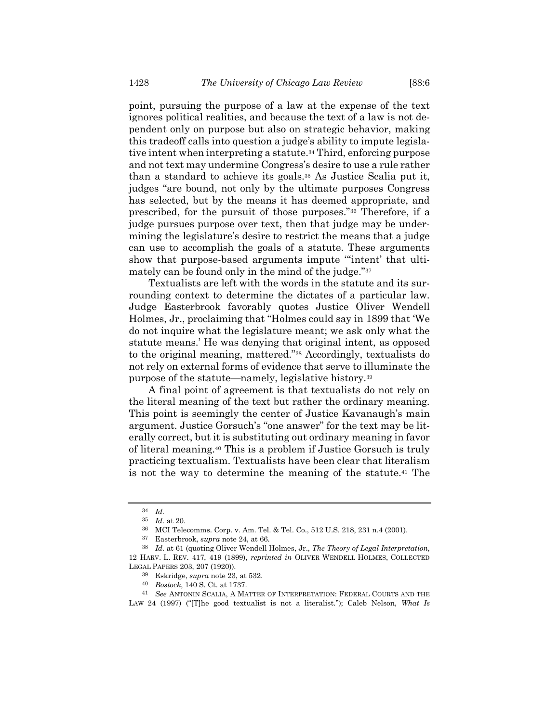point, pursuing the purpose of a law at the expense of the text ignores political realities, and because the text of a law is not dependent only on purpose but also on strategic behavior, making this tradeoff calls into question a judge's ability to impute legislative intent when interpreting a statute.<sup>34</sup> Third, enforcing purpose and not text may undermine Congress's desire to use a rule rather than a standard to achieve its goals.<sup>35</sup> As Justice Scalia put it, judges "are bound, not only by the ultimate purposes Congress has selected, but by the means it has deemed appropriate, and prescribed, for the pursuit of those purposes."<sup>36</sup> Therefore, if a judge pursues purpose over text, then that judge may be undermining the legislature's desire to restrict the means that a judge can use to accomplish the goals of a statute. These arguments show that purpose-based arguments impute '"intent' that ultimately can be found only in the mind of the judge."<sup>37</sup>

Textualists are left with the words in the statute and its surrounding context to determine the dictates of a particular law. Judge Easterbrook favorably quotes Justice Oliver Wendell Holmes, Jr., proclaiming that "Holmes could say in 1899 that 'We do not inquire what the legislature meant; we ask only what the statute means.' He was denying that original intent, as opposed to the original meaning, mattered."<sup>38</sup> Accordingly, textualists do not rely on external forms of evidence that serve to illuminate the purpose of the statute—namely, legislative history.<sup>39</sup>

A final point of agreement is that textualists do not rely on the literal meaning of the text but rather the ordinary meaning. This point is seemingly the center of Justice Kavanaugh's main argument. Justice Gorsuch's "one answer" for the text may be literally correct, but it is substituting out ordinary meaning in favor of literal meaning.<sup>40</sup> This is a problem if Justice Gorsuch is truly practicing textualism. Textualists have been clear that literalism is not the way to determine the meaning of the statute.<sup>41</sup> The

<span id="page-9-0"></span><sup>34</sup> *Id.*

<sup>35</sup> *Id.* at 20.

<sup>36</sup> MCI Telecomms. Corp. v. Am. Tel. & Tel. Co., 512 U.S. 218, 231 n.4 (2001).

<sup>37</sup> Easterbrook, *supra* note [24,](#page-7-1) at 66.

<sup>38</sup> *Id.* at 61 (quoting Oliver Wendell Holmes, Jr., *The Theory of Legal Interpretation,*  12 HARV. L. REV. 417, 419 (1899), *reprinted in* OLIVER WENDELL HOLMES, COLLECTED LEGAL PAPERS 203, 207 (1920)).

<sup>39</sup> Eskridge, *supra* note [23,](#page-7-0) at 532.

<sup>40</sup> *Bostock*, 140 S. Ct. at 1737.

<sup>41</sup> *See* ANTONIN SCALIA, A MATTER OF INTERPRETATION: FEDERAL COURTS AND THE LAW 24 (1997) ("[T]he good textualist is not a literalist."); Caleb Nelson, *What Is*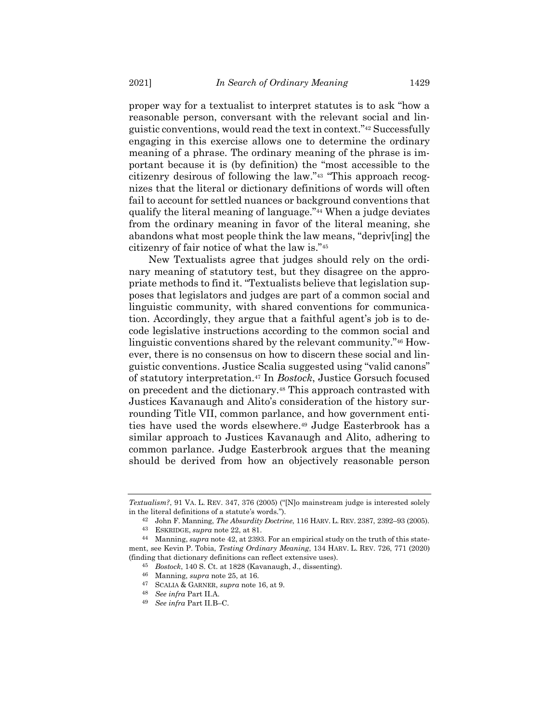<span id="page-10-0"></span>proper way for a textualist to interpret statutes is to ask "how a reasonable person, conversant with the relevant social and linguistic conventions, would read the text in context."<sup>42</sup> Successfully engaging in this exercise allows one to determine the ordinary meaning of a phrase. The ordinary meaning of the phrase is important because it is (by definition) the "most accessible to the citizenry desirous of following the law."<sup>43</sup> "This approach recognizes that the literal or dictionary definitions of words will often fail to account for settled nuances or background conventions that qualify the literal meaning of language."<sup>44</sup> When a judge deviates from the ordinary meaning in favor of the literal meaning, she abandons what most people think the law means, "depriv[ing] the citizenry of fair notice of what the law is."<sup>45</sup>

<span id="page-10-1"></span>New Textualists agree that judges should rely on the ordinary meaning of statutory test, but they disagree on the appropriate methods to find it. "Textualists believe that legislation supposes that legislators and judges are part of a common social and linguistic community, with shared conventions for communication. Accordingly, they argue that a faithful agent's job is to decode legislative instructions according to the common social and linguistic conventions shared by the relevant community."<sup>46</sup> However, there is no consensus on how to discern these social and linguistic conventions. Justice Scalia suggested using "valid canons" of statutory interpretation.<sup>47</sup> In *Bostock*, Justice Gorsuch focused on precedent and the dictionary.<sup>48</sup> This approach contrasted with Justices Kavanaugh and Alito's consideration of the history surrounding Title VII, common parlance, and how government entities have used the words elsewhere.<sup>49</sup> Judge Easterbrook has a similar approach to Justices Kavanaugh and Alito, adhering to common parlance. Judge Easterbrook argues that the meaning should be derived from how an objectively reasonable person

*Textualism?*, 91 VA. L. REV. 347, 376 (2005) ("[N]o mainstream judge is interested solely in the literal definitions of a statute's words.").

<sup>42</sup> John F. Manning, *The Absurdity Doctrine*, 116 HARV. L. REV. 2387, 2392–93 (2005).

<sup>43</sup> ESKRIDGE, *supra* note [22,](#page-6-1) at 81.

<sup>44</sup> Manning, *supra* note [42,](#page-10-0) at 2393. For an empirical study on the truth of this statement, see Kevin P. Tobia, *Testing Ordinary Meaning*, 134 HARV. L. REV. 726, 771 (2020) (finding that dictionary definitions can reflect extensive uses).

<sup>45</sup> *Bostock*, 140 S. Ct. at 1828 (Kavanaugh, J., dissenting).

<sup>46</sup> Manning, *supra* note [25,](#page-8-0) at 16.

<sup>47</sup> SCALIA & GARNER, *supra* note [16,](#page-3-0) at 9.

<sup>48</sup> *See infra* Part II.A.

<sup>49</sup> *See infra* Part II.B–C.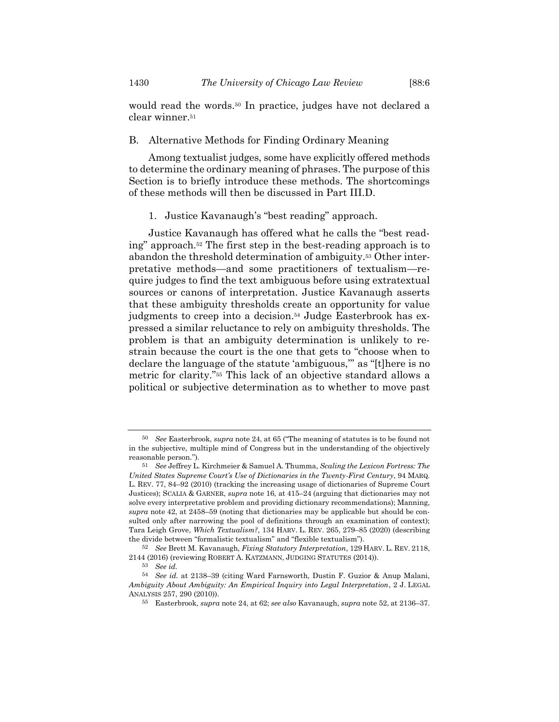<span id="page-11-2"></span>would read the words.<sup>50</sup> In practice, judges have not declared a clear winner.<sup>51</sup>

### B. Alternative Methods for Finding Ordinary Meaning

Among textualist judges, some have explicitly offered methods to determine the ordinary meaning of phrases. The purpose of this Section is to briefly introduce these methods. The shortcomings of these methods will then be discussed in Part III.D.

### <span id="page-11-1"></span><span id="page-11-0"></span>1. Justice Kavanaugh's "best reading" approach.

Justice Kavanaugh has offered what he calls the "best reading" approach.<sup>52</sup> The first step in the best-reading approach is to abandon the threshold determination of ambiguity.<sup>53</sup> Other interpretative methods—and some practitioners of textualism—require judges to find the text ambiguous before using extratextual sources or canons of interpretation. Justice Kavanaugh asserts that these ambiguity thresholds create an opportunity for value judgments to creep into a decision.<sup>54</sup> Judge Easterbrook has expressed a similar reluctance to rely on ambiguity thresholds. The problem is that an ambiguity determination is unlikely to restrain because the court is the one that gets to "choose when to declare the language of the statute 'ambiguous,'" as "[t]here is no metric for clarity."<sup>55</sup> This lack of an objective standard allows a political or subjective determination as to whether to move past

<sup>50</sup> *See* Easterbrook, *supra* note [24,](#page-7-1) at 65 ("The meaning of statutes is to be found not in the subjective, multiple mind of Congress but in the understanding of the objectively reasonable person.").

<sup>51</sup> *See* Jeffrey L. Kirchmeier & Samuel A. Thumma, *Scaling the Lexicon Fortress: The United States Supreme Court's Use of Dictionaries in the Twenty-First Century*, 94 MARQ. L. REV. 77, 84–92 (2010) (tracking the increasing usage of dictionaries of Supreme Court Justices); SCALIA & GARNER, *supra* note [16,](#page-3-0) at 415–24 (arguing that dictionaries may not solve every interpretative problem and providing dictionary recommendations); Manning, *supra* note [42,](#page-10-0) at 2458–59 (noting that dictionaries may be applicable but should be consulted only after narrowing the pool of definitions through an examination of context); Tara Leigh Grove, *Which Textualism?*, 134 HARV. L. REV. 265, 279–85 (2020) (describing the divide between "formalistic textualism" and "flexible textualism").

<sup>52</sup> *See* Brett M. Kavanaugh, *Fixing Statutory Interpretation*, 129 HARV. L. REV. 2118, 2144 (2016) (reviewing ROBERT A. KATZMANN, JUDGING STATUTES (2014)).

<sup>53</sup> *See id.*

<sup>54</sup> *See id.* at 2138–39 (citing Ward Farnsworth, Dustin F. Guzior & Anup Malani, *Ambiguity About Ambiguity: An Empirical Inquiry into Legal Interpretation*, 2 J. LEGAL ANALYSIS 257, 290 (2010)).

<sup>55</sup> Easterbrook, *supra* note [24,](#page-7-1) at 62; *see also* Kavanaugh, *supra* note [52,](#page-11-0) at 2136–37.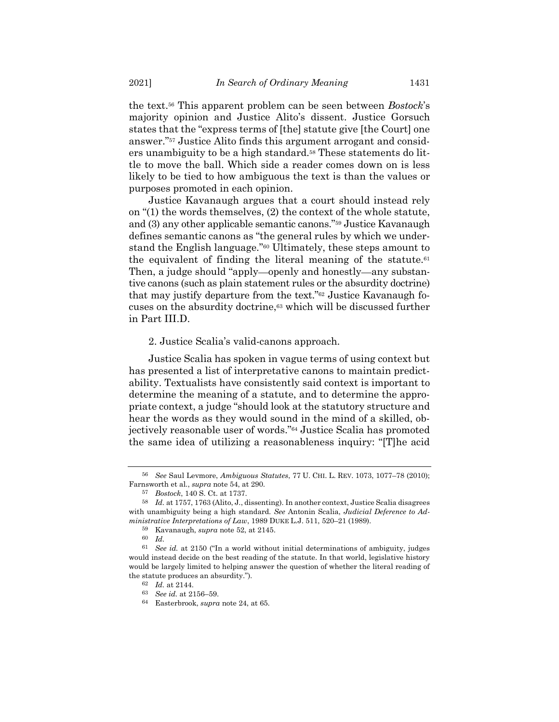the text.<sup>56</sup> This apparent problem can be seen between *Bostock*'s majority opinion and Justice Alito's dissent. Justice Gorsuch states that the "express terms of [the] statute give [the Court] one answer."<sup>57</sup> Justice Alito finds this argument arrogant and considers unambiguity to be a high standard.<sup>58</sup> These statements do little to move the ball. Which side a reader comes down on is less likely to be tied to how ambiguous the text is than the values or purposes promoted in each opinion.

Justice Kavanaugh argues that a court should instead rely on "(1) the words themselves, (2) the context of the whole statute, and (3) any other applicable semantic canons."<sup>59</sup> Justice Kavanaugh defines semantic canons as "the general rules by which we understand the English language."<sup>60</sup> Ultimately, these steps amount to the equivalent of finding the literal meaning of the statute. $61$ Then, a judge should "apply—openly and honestly—any substantive canons (such as plain statement rules or the absurdity doctrine) that may justify departure from the text."<sup>62</sup> Justice Kavanaugh focuses on the absurdity doctrine,<sup>63</sup> which will be discussed further in Part III.D.

#### 2. Justice Scalia's valid-canons approach.

Justice Scalia has spoken in vague terms of using context but has presented a list of interpretative canons to maintain predictability. Textualists have consistently said context is important to determine the meaning of a statute, and to determine the appropriate context, a judge "should look at the statutory structure and hear the words as they would sound in the mind of a skilled, objectively reasonable user of words."<sup>64</sup> Justice Scalia has promoted the same idea of utilizing a reasonableness inquiry: "[T]he acid

<sup>56</sup> *See* Saul Levmore, *Ambiguous Statutes*, 77 U. CHI. L. REV. 1073, 1077–78 (2010); Farnsworth et al., *supra* note [54,](#page-11-1) at 290.

<sup>57</sup> *Bostock*, 140 S. Ct. at 1737.

<sup>58</sup> *Id.* at 1757, 1763 (Alito, J., dissenting). In another context, Justice Scalia disagrees with unambiguity being a high standard. *See* Antonin Scalia, *Judicial Deference to Administrative Interpretations of Law*, 1989 DUKE L.J. 511, 520–21 (1989).

<sup>59</sup> Kavanaugh, *supra* note [52,](#page-11-0) at 2145.

<sup>60</sup> *Id.*

<sup>61</sup> *See id.* at 2150 ("In a world without initial determinations of ambiguity, judges would instead decide on the best reading of the statute. In that world, legislative history would be largely limited to helping answer the question of whether the literal reading of the statute produces an absurdity.").

<sup>62</sup> *Id.* at 2144.

<sup>63</sup> *See id.* at 2156–59.

<sup>64</sup> Easterbrook, *supra* not[e 24,](#page-7-1) at 65.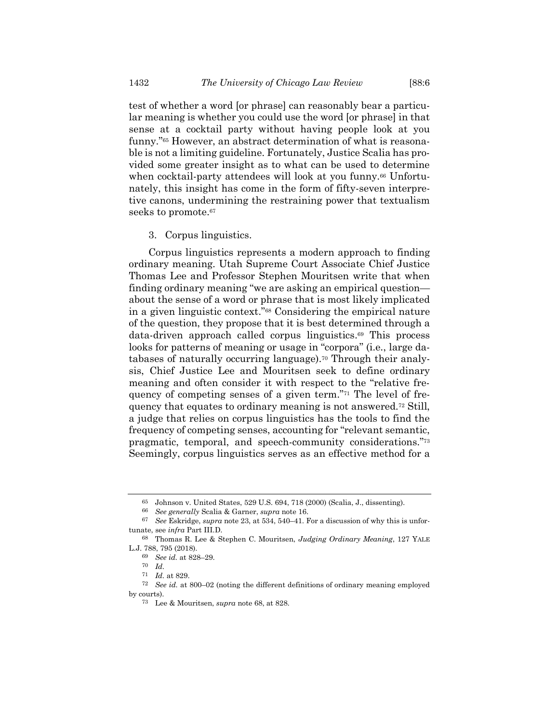test of whether a word [or phrase] can reasonably bear a particular meaning is whether you could use the word [or phrase] in that sense at a cocktail party without having people look at you funny."<sup>65</sup> However, an abstract determination of what is reasonable is not a limiting guideline. Fortunately, Justice Scalia has provided some greater insight as to what can be used to determine when cocktail-party attendees will look at you funny.<sup>66</sup> Unfortunately, this insight has come in the form of fifty-seven interpretive canons, undermining the restraining power that textualism seeks to promote.<sup>67</sup>

#### <span id="page-13-0"></span>3. Corpus linguistics.

Corpus linguistics represents a modern approach to finding ordinary meaning. Utah Supreme Court Associate Chief Justice Thomas Lee and Professor Stephen Mouritsen write that when finding ordinary meaning "we are asking an empirical question about the sense of a word or phrase that is most likely implicated in a given linguistic context."<sup>68</sup> Considering the empirical nature of the question, they propose that it is best determined through a data-driven approach called corpus linguistics.<sup>69</sup> This process looks for patterns of meaning or usage in "corpora" (i.e., large databases of naturally occurring language).<sup>70</sup> Through their analysis, Chief Justice Lee and Mouritsen seek to define ordinary meaning and often consider it with respect to the "relative frequency of competing senses of a given term."<sup>71</sup> The level of frequency that equates to ordinary meaning is not answered.<sup>72</sup> Still, a judge that relies on corpus linguistics has the tools to find the frequency of competing senses, accounting for "relevant semantic, pragmatic, temporal, and speech-community considerations."<sup>73</sup> Seemingly, corpus linguistics serves as an effective method for a

<sup>65</sup> Johnson v. United States, 529 U.S. 694, 718 (2000) (Scalia, J., dissenting).

<sup>66</sup> *See generally* Scalia & Garner, *supra* note [16.](#page-3-0)

<sup>67</sup> *See* Eskridge, *supra* not[e 23,](#page-7-0) at 534, 540–41. For a discussion of why this is unfortunate, see *infra* Part III.D.

<sup>68</sup> Thomas R. Lee & Stephen C. Mouritsen, *Judging Ordinary Meaning*, 127 YALE L.J. 788, 795 (2018).

<sup>69</sup> *See id.* at 828–29.

<sup>70</sup> *Id.*

<sup>71</sup> *Id.* at 829.

<sup>72</sup> *See id.* at 800–02 (noting the different definitions of ordinary meaning employed by courts).

<sup>73</sup> Lee & Mouritsen, *supra* note [68,](#page-13-0) at 828.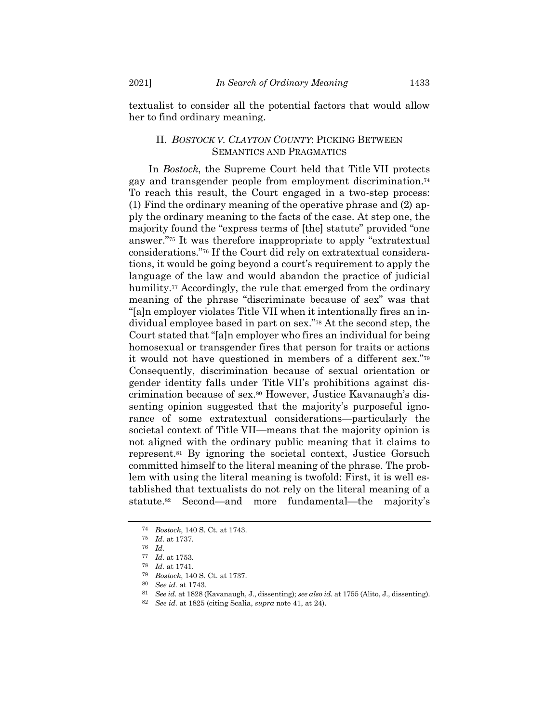textualist to consider all the potential factors that would allow her to find ordinary meaning.

## II. *BOSTOCK V. CLAYTON COUNTY*: PICKING BETWEEN SEMANTICS AND PRAGMATICS

In *Bostock*, the Supreme Court held that Title VII protects gay and transgender people from employment discrimination.<sup>74</sup> To reach this result, the Court engaged in a two-step process: (1) Find the ordinary meaning of the operative phrase and (2) apply the ordinary meaning to the facts of the case. At step one, the majority found the "express terms of [the] statute" provided "one answer."<sup>75</sup> It was therefore inappropriate to apply "extratextual considerations."<sup>76</sup> If the Court did rely on extratextual considerations, it would be going beyond a court's requirement to apply the language of the law and would abandon the practice of judicial humility.<sup>77</sup> Accordingly, the rule that emerged from the ordinary meaning of the phrase "discriminate because of sex" was that "[a]n employer violates Title VII when it intentionally fires an individual employee based in part on sex."<sup>78</sup> At the second step, the Court stated that "[a]n employer who fires an individual for being homosexual or transgender fires that person for traits or actions it would not have questioned in members of a different sex."<sup>79</sup> Consequently, discrimination because of sexual orientation or gender identity falls under Title VII's prohibitions against discrimination because of sex.<sup>80</sup> However, Justice Kavanaugh's dissenting opinion suggested that the majority's purposeful ignorance of some extratextual considerations—particularly the societal context of Title VII—means that the majority opinion is not aligned with the ordinary public meaning that it claims to represent.<sup>81</sup> By ignoring the societal context, Justice Gorsuch committed himself to the literal meaning of the phrase. The problem with using the literal meaning is twofold: First, it is well established that textualists do not rely on the literal meaning of a statute.<sup>82</sup> Second—and more fundamental—the majority's

<sup>74</sup> *Bostock*, 140 S. Ct. at 1743.

<sup>75</sup> *Id.* at 1737.

<sup>76</sup> *Id.*

<sup>77</sup> *Id.* at 1753.

<sup>78</sup> *Id.* at 1741.

<sup>79</sup> *Bostock*, 140 S. Ct. at 1737.

<sup>80</sup> *See id.* at 1743.

<sup>81</sup> *See id.* at 1828 (Kavanaugh, J., dissenting); *see also id.* at 1755 (Alito, J., dissenting).

<sup>82</sup> *See id.* at 1825 (citing Scalia, *supra* note [41,](#page-9-0) at 24).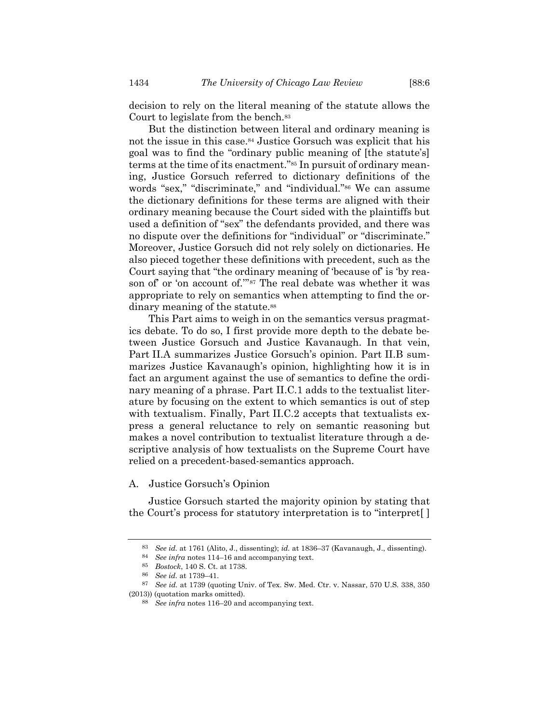decision to rely on the literal meaning of the statute allows the Court to legislate from the bench.<sup>83</sup>

But the distinction between literal and ordinary meaning is not the issue in this case.<sup>84</sup> Justice Gorsuch was explicit that his goal was to find the "ordinary public meaning of [the statute's] terms at the time of its enactment."<sup>85</sup> In pursuit of ordinary meaning, Justice Gorsuch referred to dictionary definitions of the words "sex," "discriminate," and "individual."<sup>86</sup> We can assume the dictionary definitions for these terms are aligned with their ordinary meaning because the Court sided with the plaintiffs but used a definition of "sex" the defendants provided, and there was no dispute over the definitions for "individual" or "discriminate." Moreover, Justice Gorsuch did not rely solely on dictionaries. He also pieced together these definitions with precedent, such as the Court saying that "the ordinary meaning of 'because of' is 'by reason of' or 'on account of.'" <sup>87</sup> The real debate was whether it was appropriate to rely on semantics when attempting to find the ordinary meaning of the statute.<sup>88</sup>

This Part aims to weigh in on the semantics versus pragmatics debate. To do so, I first provide more depth to the debate between Justice Gorsuch and Justice Kavanaugh. In that vein, Part II.A summarizes Justice Gorsuch's opinion. Part II.B summarizes Justice Kavanaugh's opinion, highlighting how it is in fact an argument against the use of semantics to define the ordinary meaning of a phrase. Part II.C.1 adds to the textualist literature by focusing on the extent to which semantics is out of step with textualism. Finally, Part II.C.2 accepts that textualists express a general reluctance to rely on semantic reasoning but makes a novel contribution to textualist literature through a descriptive analysis of how textualists on the Supreme Court have relied on a precedent-based-semantics approach.

A. Justice Gorsuch's Opinion

Justice Gorsuch started the majority opinion by stating that the Court's process for statutory interpretation is to "interpret[ ]

<sup>83</sup> *See id.* at 1761 (Alito, J., dissenting); *id.* at 1836–37 (Kavanaugh, J., dissenting).

<sup>84</sup> *See infra* note[s 114](#page-18-0)–16 and accompanying text.

<sup>85</sup> *Bostock*, 140 S. Ct. at 1738.

<sup>86</sup> *See id.* at 1739–41.

<sup>87</sup> *See id.* at 1739 (quoting Univ. of Tex. Sw. Med. Ctr. v. Nassar, 570 U.S. 338, 350 (2013)) (quotation marks omitted).

<sup>88</sup> *See infra* notes [116](#page-19-0)–20 and accompanying text.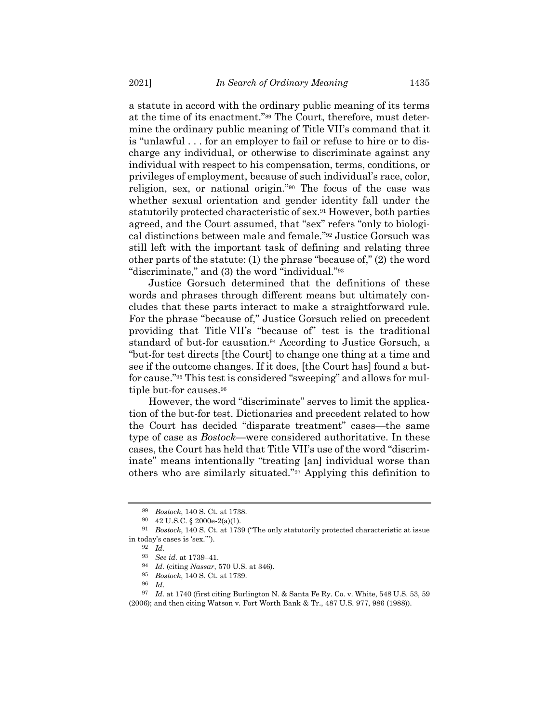a statute in accord with the ordinary public meaning of its terms at the time of its enactment."<sup>89</sup> The Court, therefore, must determine the ordinary public meaning of Title VII's command that it is "unlawful . . . for an employer to fail or refuse to hire or to discharge any individual, or otherwise to discriminate against any individual with respect to his compensation, terms, conditions, or privileges of employment, because of such individual's race, color, religion, sex, or national origin."<sup>90</sup> The focus of the case was whether sexual orientation and gender identity fall under the statutorily protected characteristic of sex.<sup>91</sup> However, both parties agreed, and the Court assumed, that "sex" refers "only to biological distinctions between male and female."<sup>92</sup> Justice Gorsuch was still left with the important task of defining and relating three other parts of the statute: (1) the phrase "because of," (2) the word "discriminate," and (3) the word "individual."<sup>93</sup>

Justice Gorsuch determined that the definitions of these words and phrases through different means but ultimately concludes that these parts interact to make a straightforward rule. For the phrase "because of," Justice Gorsuch relied on precedent providing that Title VII's "because of" test is the traditional standard of but-for causation.<sup>94</sup> According to Justice Gorsuch, a "but-for test directs [the Court] to change one thing at a time and see if the outcome changes. If it does, [the Court has] found a butfor cause."<sup>95</sup> This test is considered "sweeping" and allows for multiple but-for causes.<sup>96</sup>

However, the word "discriminate" serves to limit the application of the but-for test. Dictionaries and precedent related to how the Court has decided "disparate treatment" cases—the same type of case as *Bostock*—were considered authoritative. In these cases, the Court has held that Title VII's use of the word "discriminate" means intentionally "treating [an] individual worse than others who are similarly situated."<sup>97</sup> Applying this definition to

<sup>89</sup> *Bostock*, 140 S. Ct. at 1738.

<sup>90</sup> 42 U.S.C. § 2000e-2(a)(1).

<sup>91</sup> *Bostock*, 140 S. Ct. at 1739 ("The only statutorily protected characteristic at issue in today's cases is 'sex.'").

<sup>92</sup> *Id.*

<sup>93</sup> *See id.* at 1739–41.

<sup>94</sup> *Id.* (citing *Nassar*, 570 U.S. at 346).

<sup>95</sup> *Bostock*, 140 S. Ct. at 1739.

<sup>96</sup> *Id*.

<sup>97</sup> *Id.* at 1740 (first citing Burlington N. & Santa Fe Ry. Co. v. White, 548 U.S. 53, 59 (2006); and then citing Watson v. Fort Worth Bank & Tr., 487 U.S. 977, 986 (1988)).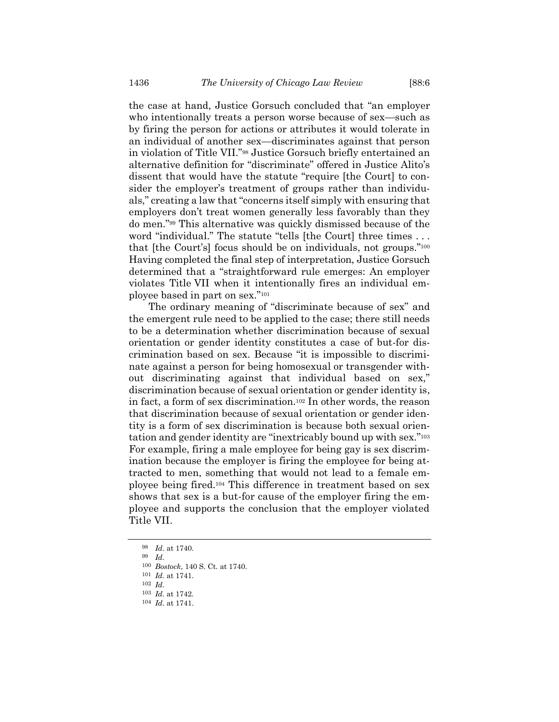the case at hand, Justice Gorsuch concluded that "an employer who intentionally treats a person worse because of sex—such as by firing the person for actions or attributes it would tolerate in an individual of another sex—discriminates against that person in violation of Title VII."<sup>98</sup> Justice Gorsuch briefly entertained an alternative definition for "discriminate" offered in Justice Alito's dissent that would have the statute "require [the Court] to consider the employer's treatment of groups rather than individuals," creating a law that "concerns itself simply with ensuring that employers don't treat women generally less favorably than they do men."<sup>99</sup> This alternative was quickly dismissed because of the word "individual." The statute "tells [the Court] three times . . . that [the Court's] focus should be on individuals, not groups."<sup>100</sup> Having completed the final step of interpretation, Justice Gorsuch determined that a "straightforward rule emerges: An employer violates Title VII when it intentionally fires an individual employee based in part on sex."<sup>101</sup>

The ordinary meaning of "discriminate because of sex" and the emergent rule need to be applied to the case; there still needs to be a determination whether discrimination because of sexual orientation or gender identity constitutes a case of but-for discrimination based on sex. Because "it is impossible to discriminate against a person for being homosexual or transgender without discriminating against that individual based on sex," discrimination because of sexual orientation or gender identity is, in fact, a form of sex discrimination.<sup>102</sup> In other words, the reason that discrimination because of sexual orientation or gender identity is a form of sex discrimination is because both sexual orientation and gender identity are "inextricably bound up with sex."<sup>103</sup> For example, firing a male employee for being gay is sex discrimination because the employer is firing the employee for being attracted to men, something that would not lead to a female employee being fired.<sup>104</sup> This difference in treatment based on sex shows that sex is a but-for cause of the employer firing the employee and supports the conclusion that the employer violated Title VII.

<sup>98</sup> *Id.* at 1740.

<sup>99</sup> *Id.*

<sup>100</sup> *Bostock*, 140 S. Ct. at 1740.

<sup>101</sup> *Id.* at 1741.

<sup>102</sup> *Id.*

<sup>103</sup> *Id.* at 1742.

<sup>104</sup> *Id.* at 1741.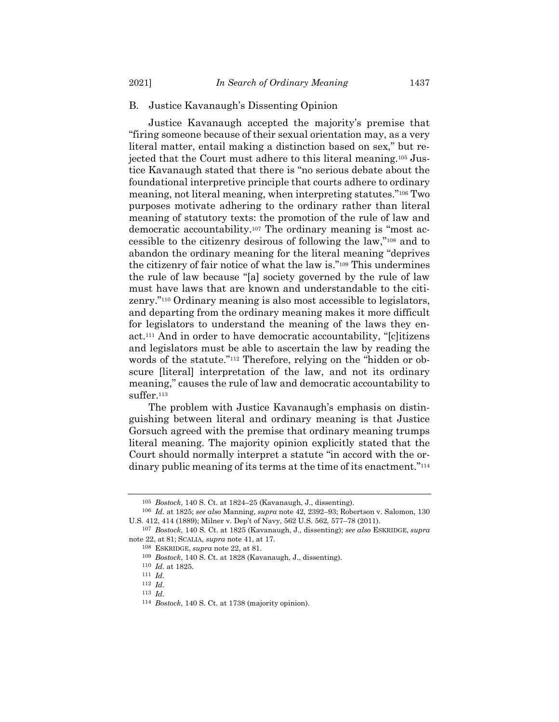#### B. Justice Kavanaugh's Dissenting Opinion

Justice Kavanaugh accepted the majority's premise that "firing someone because of their sexual orientation may, as a very literal matter, entail making a distinction based on sex," but rejected that the Court must adhere to this literal meaning.<sup>105</sup> Justice Kavanaugh stated that there is "no serious debate about the foundational interpretive principle that courts adhere to ordinary meaning, not literal meaning, when interpreting statutes."<sup>106</sup> Two purposes motivate adhering to the ordinary rather than literal meaning of statutory texts: the promotion of the rule of law and democratic accountability.<sup>107</sup> The ordinary meaning is "most accessible to the citizenry desirous of following the law,"<sup>108</sup> and to abandon the ordinary meaning for the literal meaning "deprives the citizenry of fair notice of what the law is."<sup>109</sup> This undermines the rule of law because "[a] society governed by the rule of law must have laws that are known and understandable to the citizenry."<sup>110</sup> Ordinary meaning is also most accessible to legislators, and departing from the ordinary meaning makes it more difficult for legislators to understand the meaning of the laws they enact.<sup>111</sup> And in order to have democratic accountability, "[c]itizens and legislators must be able to ascertain the law by reading the words of the statute."<sup>112</sup> Therefore, relying on the "hidden or obscure [literal] interpretation of the law, and not its ordinary meaning," causes the rule of law and democratic accountability to suffer.<sup>113</sup>

The problem with Justice Kavanaugh's emphasis on distinguishing between literal and ordinary meaning is that Justice Gorsuch agreed with the premise that ordinary meaning trumps literal meaning. The majority opinion explicitly stated that the Court should normally interpret a statute "in accord with the ordinary public meaning of its terms at the time of its enactment."<sup>114</sup>

<span id="page-18-0"></span><sup>105</sup> *Bostock*, 140 S. Ct. at 1824–25 (Kavanaugh, J., dissenting).

<sup>106</sup> *Id.* at 1825; *see also* Manning, *supra* note [42,](#page-10-0) 2392–93; Robertson v. Salomon, 130 U.S. 412, 414 (1889); Milner v. Dep't of Navy, 562 U.S. 562, 577–78 (2011).

<sup>107</sup> *Bostock*, 140 S. Ct. at 1825 (Kavanaugh, J., dissenting); *see also* ESKRIDGE, *supra* note [22,](#page-6-1) at 81; SCALIA, *supra* note [41,](#page-9-0) at 17.

<sup>108</sup> ESKRIDGE, *supra* not[e 22,](#page-6-1) at 81.

<sup>109</sup> *Bostock*, 140 S. Ct. at 1828 (Kavanaugh, J., dissenting).

<sup>110</sup> *Id.* at 1825.

<sup>111</sup> *Id.*

<sup>112</sup> *Id.* 113 *Id.*

<sup>114</sup> *Bostock*, 140 S. Ct. at 1738 (majority opinion).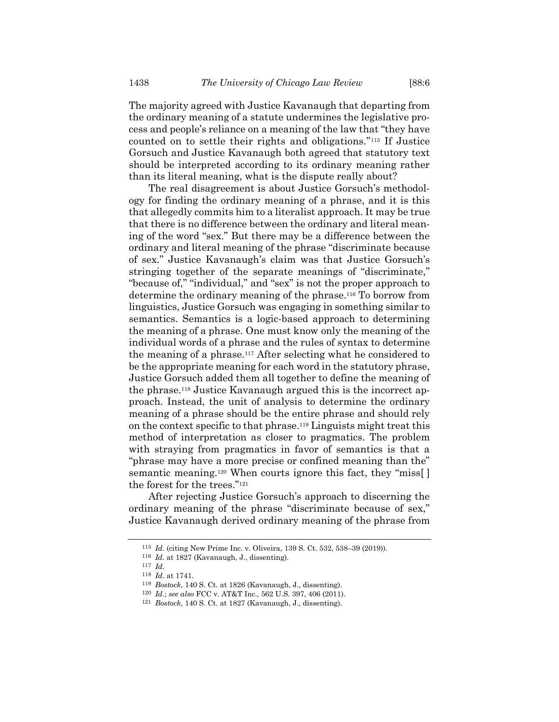The majority agreed with Justice Kavanaugh that departing from the ordinary meaning of a statute undermines the legislative process and people's reliance on a meaning of the law that "they have counted on to settle their rights and obligations."<sup>115</sup> If Justice Gorsuch and Justice Kavanaugh both agreed that statutory text should be interpreted according to its ordinary meaning rather than its literal meaning, what is the dispute really about?

<span id="page-19-0"></span>The real disagreement is about Justice Gorsuch's methodology for finding the ordinary meaning of a phrase, and it is this that allegedly commits him to a literalist approach. It may be true that there is no difference between the ordinary and literal meaning of the word "sex." But there may be a difference between the ordinary and literal meaning of the phrase "discriminate because of sex." Justice Kavanaugh's claim was that Justice Gorsuch's stringing together of the separate meanings of "discriminate," "because of," "individual," and "sex" is not the proper approach to determine the ordinary meaning of the phrase.<sup>116</sup> To borrow from linguistics, Justice Gorsuch was engaging in something similar to semantics. Semantics is a logic-based approach to determining the meaning of a phrase. One must know only the meaning of the individual words of a phrase and the rules of syntax to determine the meaning of a phrase.<sup>117</sup> After selecting what he considered to be the appropriate meaning for each word in the statutory phrase, Justice Gorsuch added them all together to define the meaning of the phrase.<sup>118</sup> Justice Kavanaugh argued this is the incorrect approach. Instead, the unit of analysis to determine the ordinary meaning of a phrase should be the entire phrase and should rely on the context specific to that phrase.<sup>119</sup> Linguists might treat this method of interpretation as closer to pragmatics. The problem with straying from pragmatics in favor of semantics is that a "phrase may have a more precise or confined meaning than the" semantic meaning.<sup>120</sup> When courts ignore this fact, they "miss[] the forest for the trees."<sup>121</sup>

After rejecting Justice Gorsuch's approach to discerning the ordinary meaning of the phrase "discriminate because of sex," Justice Kavanaugh derived ordinary meaning of the phrase from

<sup>115</sup> *Id.* (citing New Prime Inc. v. Oliveira, 139 S. Ct. 532, 538–39 (2019)).

<sup>116</sup> *Id.* at 1827 (Kavanaugh, J., dissenting).

<sup>117</sup> *Id.*

<sup>118</sup> *Id.* at 1741.

<sup>119</sup> *Bostock*, 140 S. Ct. at 1826 (Kavanaugh, J., dissenting).

<sup>120</sup> *Id.*; *see also* FCC v. AT&T Inc., 562 U.S. 397, 406 (2011).

<sup>121</sup> *Bostock*, 140 S. Ct. at 1827 (Kavanaugh, J., dissenting).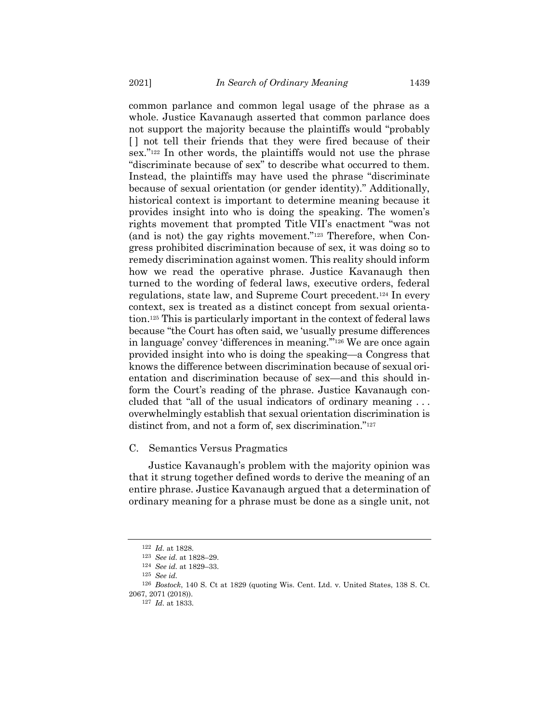common parlance and common legal usage of the phrase as a whole. Justice Kavanaugh asserted that common parlance does not support the majority because the plaintiffs would "probably [ ] not tell their friends that they were fired because of their sex."<sup>122</sup> In other words, the plaintiffs would not use the phrase "discriminate because of sex" to describe what occurred to them. Instead, the plaintiffs may have used the phrase "discriminate because of sexual orientation (or gender identity)." Additionally, historical context is important to determine meaning because it provides insight into who is doing the speaking. The women's rights movement that prompted Title VII's enactment "was not (and is not) the gay rights movement."<sup>123</sup> Therefore, when Congress prohibited discrimination because of sex, it was doing so to remedy discrimination against women. This reality should inform how we read the operative phrase. Justice Kavanaugh then turned to the wording of federal laws, executive orders, federal regulations, state law, and Supreme Court precedent.<sup>124</sup> In every context, sex is treated as a distinct concept from sexual orientation.<sup>125</sup> This is particularly important in the context of federal laws because "the Court has often said, we 'usually presume differences in language' convey 'differences in meaning.'"<sup>126</sup> We are once again provided insight into who is doing the speaking—a Congress that knows the difference between discrimination because of sexual orientation and discrimination because of sex—and this should inform the Court's reading of the phrase. Justice Kavanaugh concluded that "all of the usual indicators of ordinary meaning . . . overwhelmingly establish that sexual orientation discrimination is distinct from, and not a form of, sex discrimination."<sup>127</sup>

#### C. Semantics Versus Pragmatics

Justice Kavanaugh's problem with the majority opinion was that it strung together defined words to derive the meaning of an entire phrase. Justice Kavanaugh argued that a determination of ordinary meaning for a phrase must be done as a single unit, not

<sup>122</sup> *Id.* at 1828.

<sup>123</sup> *See id.* at 1828–29.

<sup>124</sup> *See id.* at 1829–33.

<sup>125</sup> *See id.*

<sup>126</sup> *Bostock*, 140 S. Ct at 1829 (quoting Wis. Cent. Ltd. v. United States, 138 S. Ct. 2067, 2071 (2018)).

<sup>127</sup> *Id.* at 1833.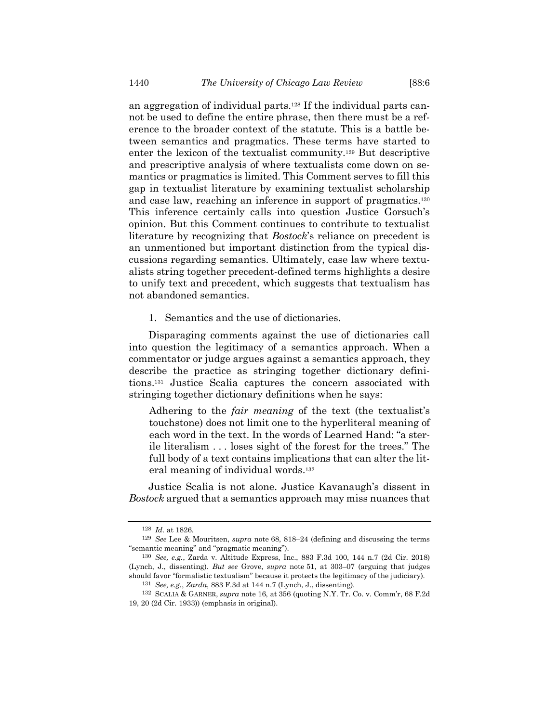an aggregation of individual parts.<sup>128</sup> If the individual parts cannot be used to define the entire phrase, then there must be a reference to the broader context of the statute. This is a battle between semantics and pragmatics. These terms have started to enter the lexicon of the textualist community.<sup>129</sup> But descriptive and prescriptive analysis of where textualists come down on semantics or pragmatics is limited. This Comment serves to fill this gap in textualist literature by examining textualist scholarship and case law, reaching an inference in support of pragmatics.<sup>130</sup> This inference certainly calls into question Justice Gorsuch's opinion. But this Comment continues to contribute to textualist literature by recognizing that *Bostock*'s reliance on precedent is an unmentioned but important distinction from the typical discussions regarding semantics. Ultimately, case law where textualists string together precedent-defined terms highlights a desire to unify text and precedent, which suggests that textualism has not abandoned semantics.

1. Semantics and the use of dictionaries.

Disparaging comments against the use of dictionaries call into question the legitimacy of a semantics approach. When a commentator or judge argues against a semantics approach, they describe the practice as stringing together dictionary definitions.<sup>131</sup> Justice Scalia captures the concern associated with stringing together dictionary definitions when he says:

Adhering to the *fair meaning* of the text (the textualist's touchstone) does not limit one to the hyperliteral meaning of each word in the text. In the words of Learned Hand: "a sterile literalism . . . loses sight of the forest for the trees." The full body of a text contains implications that can alter the literal meaning of individual words.<sup>132</sup>

Justice Scalia is not alone. Justice Kavanaugh's dissent in *Bostock* argued that a semantics approach may miss nuances that

<sup>128</sup> *Id.* at 1826.

<sup>129</sup> *See* Lee & Mouritsen, *supra* note [68,](#page-13-0) 818–24 (defining and discussing the terms "semantic meaning" and "pragmatic meaning").

<sup>130</sup> *See, e.g.*, Zarda v. Altitude Express, Inc., 883 F.3d 100, 144 n.7 (2d Cir. 2018) (Lynch, J., dissenting). *But see* Grove, *supra* note [51,](#page-11-2) at 303–07 (arguing that judges should favor "formalistic textualism" because it protects the legitimacy of the judiciary).

<sup>131</sup> *See, e.g.*, *Zarda*, 883 F.3d at 144 n.7 (Lynch, J., dissenting).

<sup>132</sup> SCALIA & GARNER, *supra* note [16,](#page-3-0) at 356 (quoting N.Y. Tr. Co. v. Comm'r, 68 F.2d 19, 20 (2d Cir. 1933)) (emphasis in original).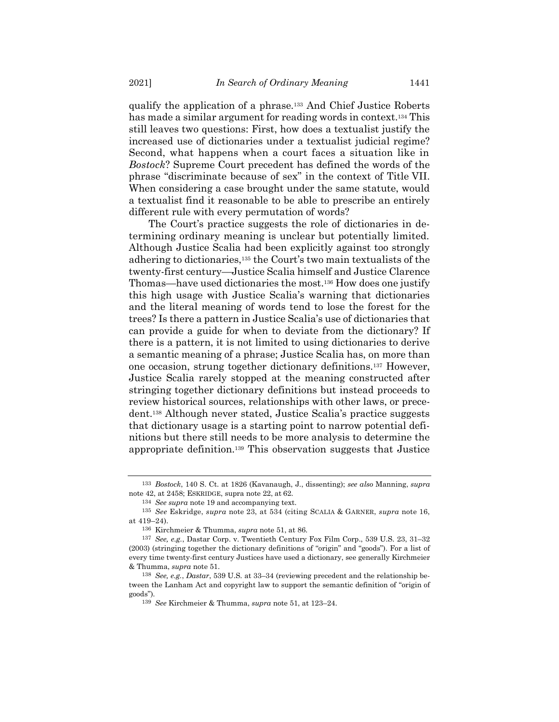qualify the application of a phrase.<sup>133</sup> And Chief Justice Roberts has made a similar argument for reading words in context.<sup>134</sup> This still leaves two questions: First, how does a textualist justify the increased use of dictionaries under a textualist judicial regime? Second, what happens when a court faces a situation like in *Bostock*? Supreme Court precedent has defined the words of the phrase "discriminate because of sex" in the context of Title VII. When considering a case brought under the same statute, would a textualist find it reasonable to be able to prescribe an entirely different rule with every permutation of words?

The Court's practice suggests the role of dictionaries in determining ordinary meaning is unclear but potentially limited. Although Justice Scalia had been explicitly against too strongly adhering to dictionaries,<sup>135</sup> the Court's two main textualists of the twenty-first century—Justice Scalia himself and Justice Clarence Thomas—have used dictionaries the most.<sup>136</sup> How does one justify this high usage with Justice Scalia's warning that dictionaries and the literal meaning of words tend to lose the forest for the trees? Is there a pattern in Justice Scalia's use of dictionaries that can provide a guide for when to deviate from the dictionary? If there is a pattern, it is not limited to using dictionaries to derive a semantic meaning of a phrase; Justice Scalia has, on more than one occasion, strung together dictionary definitions.<sup>137</sup> However, Justice Scalia rarely stopped at the meaning constructed after stringing together dictionary definitions but instead proceeds to review historical sources, relationships with other laws, or precedent.<sup>138</sup> Although never stated, Justice Scalia's practice suggests that dictionary usage is a starting point to narrow potential definitions but there still needs to be more analysis to determine the appropriate definition.<sup>139</sup> This observation suggests that Justice

<span id="page-22-0"></span><sup>133</sup> *Bostock*, 140 S. Ct. at 1826 (Kavanaugh, J., dissenting); *see also* Manning, *supra* note [42,](#page-10-0) at 2458; ESKRIDGE, supra note [22,](#page-6-1) at 62.

<sup>134</sup> *See supra* not[e 19](#page-4-0) and accompanying text.

<sup>135</sup> *See* Eskridge, *supra* note [23,](#page-7-0) at 534 (citing SCALIA & GARNER, *supra* note [16,](#page-3-0)  at 419–24).

<sup>136</sup> Kirchmeier & Thumma, *supra* note [51,](#page-11-2) at 86.

<sup>137</sup> *See, e.g.*, Dastar Corp. v. Twentieth Century Fox Film Corp., 539 U.S. 23, 31–32 (2003) (stringing together the dictionary definitions of "origin" and "goods"). For a list of every time twenty-first century Justices have used a dictionary, see generally Kirchmeier & Thumma, *supra* note [51.](#page-11-2)

<sup>138</sup> *See, e.g.*, *Dastar*, 539 U.S. at 33–34 (reviewing precedent and the relationship between the Lanham Act and copyright law to support the semantic definition of "origin of goods").

<sup>139</sup> *See* Kirchmeier & Thumma, *supra* note [51,](#page-11-2) at 123–24.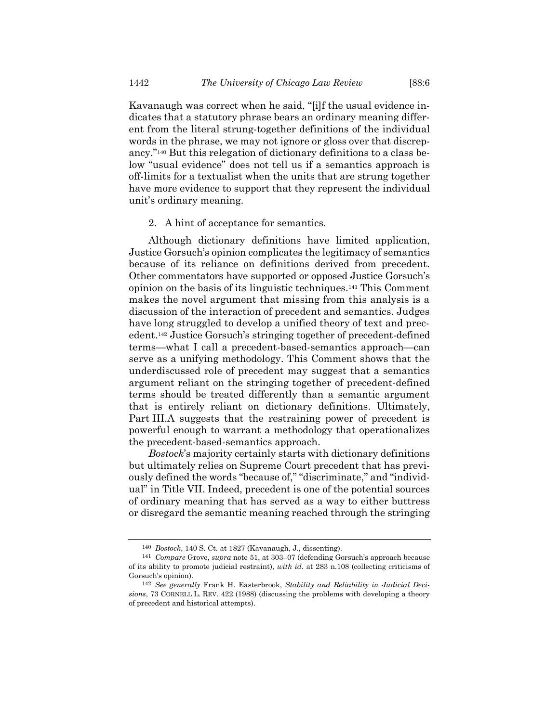Kavanaugh was correct when he said, "[i]f the usual evidence indicates that a statutory phrase bears an ordinary meaning different from the literal strung-together definitions of the individual words in the phrase, we may not ignore or gloss over that discrepancy."<sup>140</sup> But this relegation of dictionary definitions to a class below "usual evidence" does not tell us if a semantics approach is off-limits for a textualist when the units that are strung together have more evidence to support that they represent the individual unit's ordinary meaning.

#### 2. A hint of acceptance for semantics.

<span id="page-23-0"></span>Although dictionary definitions have limited application, Justice Gorsuch's opinion complicates the legitimacy of semantics because of its reliance on definitions derived from precedent. Other commentators have supported or opposed Justice Gorsuch's opinion on the basis of its linguistic techniques.<sup>141</sup> This Comment makes the novel argument that missing from this analysis is a discussion of the interaction of precedent and semantics. Judges have long struggled to develop a unified theory of text and precedent. <sup>142</sup> Justice Gorsuch's stringing together of precedent-defined terms—what I call a precedent-based-semantics approach—can serve as a unifying methodology. This Comment shows that the underdiscussed role of precedent may suggest that a semantics argument reliant on the stringing together of precedent-defined terms should be treated differently than a semantic argument that is entirely reliant on dictionary definitions. Ultimately, Part III.A suggests that the restraining power of precedent is powerful enough to warrant a methodology that operationalizes the precedent-based-semantics approach.

*Bostock*'s majority certainly starts with dictionary definitions but ultimately relies on Supreme Court precedent that has previously defined the words "because of," "discriminate," and "individual" in Title VII. Indeed, precedent is one of the potential sources of ordinary meaning that has served as a way to either buttress or disregard the semantic meaning reached through the stringing

<sup>140</sup> *Bostock*, 140 S. Ct. at 1827 (Kavanaugh, J., dissenting).

<sup>141</sup> *Compare* Grove, *supra* note [51,](#page-11-2) at 303–07 (defending Gorsuch's approach because of its ability to promote judicial restraint), *with id.* at 283 n.108 (collecting criticisms of Gorsuch's opinion).

<sup>142</sup> *See generally* Frank H. Easterbrook, *Stability and Reliability in Judicial Decisions*, 73 CORNELL L. REV. 422 (1988) (discussing the problems with developing a theory of precedent and historical attempts).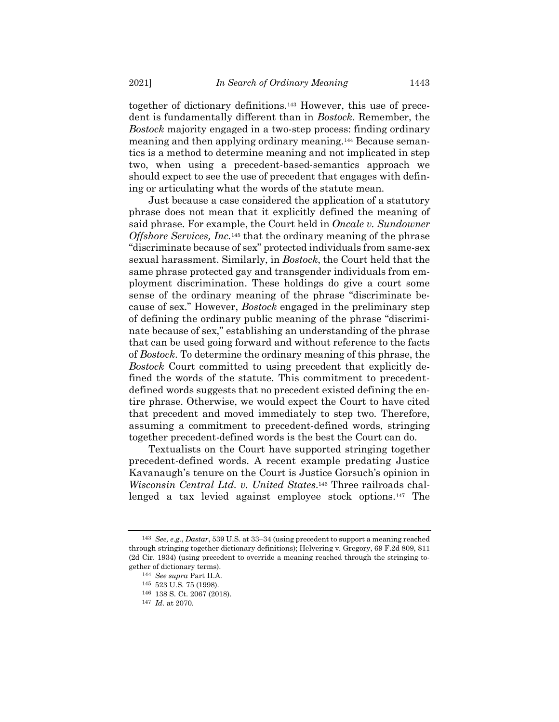together of dictionary definitions.<sup>143</sup> However, this use of precedent is fundamentally different than in *Bostock*. Remember, the *Bostock* majority engaged in a two-step process: finding ordinary meaning and then applying ordinary meaning.<sup>144</sup> Because semantics is a method to determine meaning and not implicated in step two, when using a precedent-based-semantics approach we should expect to see the use of precedent that engages with defining or articulating what the words of the statute mean.

Just because a case considered the application of a statutory phrase does not mean that it explicitly defined the meaning of said phrase. For example, the Court held in *Oncale v. Sundowner Offshore Services, Inc.*<sup>145</sup> that the ordinary meaning of the phrase "discriminate because of sex" protected individuals from same-sex sexual harassment. Similarly, in *Bostock*, the Court held that the same phrase protected gay and transgender individuals from employment discrimination. These holdings do give a court some sense of the ordinary meaning of the phrase "discriminate because of sex." However, *Bostock* engaged in the preliminary step of defining the ordinary public meaning of the phrase "discriminate because of sex," establishing an understanding of the phrase that can be used going forward and without reference to the facts of *Bostock*. To determine the ordinary meaning of this phrase, the *Bostock* Court committed to using precedent that explicitly defined the words of the statute. This commitment to precedentdefined words suggests that no precedent existed defining the entire phrase. Otherwise, we would expect the Court to have cited that precedent and moved immediately to step two. Therefore, assuming a commitment to precedent-defined words, stringing together precedent-defined words is the best the Court can do.

Textualists on the Court have supported stringing together precedent-defined words. A recent example predating Justice Kavanaugh's tenure on the Court is Justice Gorsuch's opinion in *Wisconsin Central Ltd. v. United States*. <sup>146</sup> Three railroads challenged a tax levied against employee stock options.<sup>147</sup> The

<sup>143</sup> *See, e.g.*, *Dastar*, 539 U.S. at 33–34 (using precedent to support a meaning reached through stringing together dictionary definitions); Helvering v. Gregory, 69 F.2d 809, 811 (2d Cir. 1934) (using precedent to override a meaning reached through the stringing together of dictionary terms).

<sup>144</sup> *See supra* Part II.A.

<sup>145</sup> 523 U.S. 75 (1998).

<sup>146</sup> 138 S. Ct. 2067 (2018).

<sup>147</sup> *Id.* at 2070.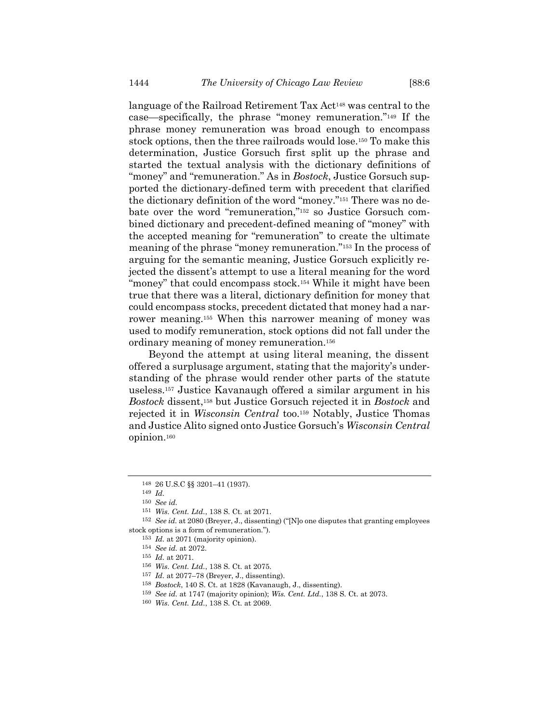language of the Railroad Retirement Tax Act<sup>148</sup> was central to the case—specifically, the phrase "money remuneration."<sup>149</sup> If the phrase money remuneration was broad enough to encompass stock options, then the three railroads would lose.<sup>150</sup> To make this determination, Justice Gorsuch first split up the phrase and started the textual analysis with the dictionary definitions of "money" and "remuneration." As in *Bostock*, Justice Gorsuch supported the dictionary-defined term with precedent that clarified the dictionary definition of the word "money."<sup>151</sup> There was no debate over the word "remuneration," <sup>152</sup> so Justice Gorsuch combined dictionary and precedent-defined meaning of "money" with the accepted meaning for "remuneration" to create the ultimate meaning of the phrase "money remuneration."<sup>153</sup> In the process of arguing for the semantic meaning, Justice Gorsuch explicitly rejected the dissent's attempt to use a literal meaning for the word "money" that could encompass stock.<sup>154</sup> While it might have been true that there was a literal, dictionary definition for money that could encompass stocks, precedent dictated that money had a narrower meaning.<sup>155</sup> When this narrower meaning of money was used to modify remuneration, stock options did not fall under the ordinary meaning of money remuneration.<sup>156</sup>

Beyond the attempt at using literal meaning, the dissent offered a surplusage argument, stating that the majority's understanding of the phrase would render other parts of the statute useless.<sup>157</sup> Justice Kavanaugh offered a similar argument in his *Bostock* dissent,<sup>158</sup> but Justice Gorsuch rejected it in *Bostock* and rejected it in *Wisconsin Central* too.<sup>159</sup> Notably, Justice Thomas and Justice Alito signed onto Justice Gorsuch's *Wisconsin Central* opinion. 160

<sup>148</sup> 26 U.S.C §§ 3201–41 (1937).

<sup>149</sup> *Id.*

<sup>150</sup> *See id.*

<sup>151</sup> *Wis. Cent. Ltd.*, 138 S. Ct. at 2071.

<sup>152</sup> *See id.* at 2080 (Breyer, J., dissenting) ("[N]o one disputes that granting employees stock options is a form of remuneration.").

<sup>153</sup> *Id.* at 2071 (majority opinion).

<sup>154</sup> *See id.* at 2072.

<sup>155</sup> *Id.* at 2071.

<sup>156</sup> *Wis. Cent. Ltd.*, 138 S. Ct. at 2075.

<sup>157</sup> *Id.* at 2077–78 (Breyer, J., dissenting).

<sup>158</sup> *Bostock*, 140 S. Ct. at 1828 (Kavanaugh, J., dissenting).

<sup>159</sup> *See id.* at 1747 (majority opinion); *Wis. Cent. Ltd.*, 138 S. Ct. at 2073.

<sup>160</sup> *Wis. Cent. Ltd.*, 138 S. Ct. at 2069.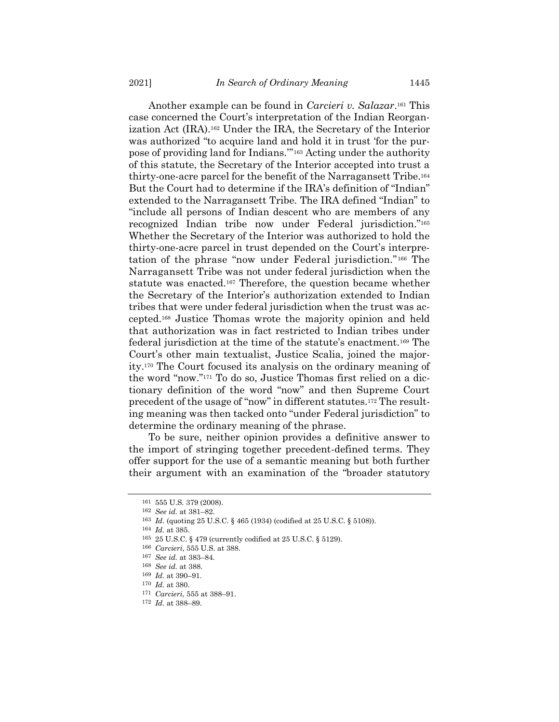Another example can be found in *Carcieri v. Salazar*. <sup>161</sup> This case concerned the Court's interpretation of the Indian Reorganization Act (IRA).<sup>162</sup> Under the IRA, the Secretary of the Interior was authorized "to acquire land and hold it in trust 'for the purpose of providing land for Indians.'" <sup>163</sup> Acting under the authority of this statute, the Secretary of the Interior accepted into trust a thirty-one-acre parcel for the benefit of the Narragansett Tribe.<sup>164</sup> But the Court had to determine if the IRA's definition of "Indian" extended to the Narragansett Tribe. The IRA defined "Indian" to "include all persons of Indian descent who are members of any recognized Indian tribe now under Federal jurisdiction."<sup>165</sup> Whether the Secretary of the Interior was authorized to hold the thirty-one-acre parcel in trust depended on the Court's interpretation of the phrase "now under Federal jurisdiction."<sup>166</sup> The Narragansett Tribe was not under federal jurisdiction when the statute was enacted.<sup>167</sup> Therefore, the question became whether the Secretary of the Interior's authorization extended to Indian tribes that were under federal jurisdiction when the trust was accepted.<sup>168</sup> Justice Thomas wrote the majority opinion and held that authorization was in fact restricted to Indian tribes under federal jurisdiction at the time of the statute's enactment.<sup>169</sup> The Court's other main textualist, Justice Scalia, joined the majority.<sup>170</sup> The Court focused its analysis on the ordinary meaning of the word "now."<sup>171</sup> To do so, Justice Thomas first relied on a dictionary definition of the word "now" and then Supreme Court precedent of the usage of "now" in different statutes.<sup>172</sup> The resulting meaning was then tacked onto "under Federal jurisdiction" to determine the ordinary meaning of the phrase.

To be sure, neither opinion provides a definitive answer to the import of stringing together precedent-defined terms. They offer support for the use of a semantic meaning but both further their argument with an examination of the "broader statutory

<sup>161</sup> 555 U.S. 379 (2008).

<sup>162</sup> *See id.* at 381–82.

<sup>163</sup> *Id.* (quoting 25 U.S.C. § 465 (1934) (codified at 25 U.S.C. § 5108)).

<sup>164</sup> *Id.* at 385.

<sup>165</sup> 25 U.S.C. § 479 (currently codified at 25 U.S.C. § 5129).

<sup>166</sup> *Carcieri*, 555 U.S. at 388.

<sup>167</sup> *See id.* at 383–84.

<sup>168</sup> *See id.* at 388.

<sup>169</sup> *Id.* at 390–91.

<sup>170</sup> *Id.* at 380.

<sup>171</sup> *Carcieri*, 555 at 388–91.

<sup>172</sup> *Id.* at 388–89.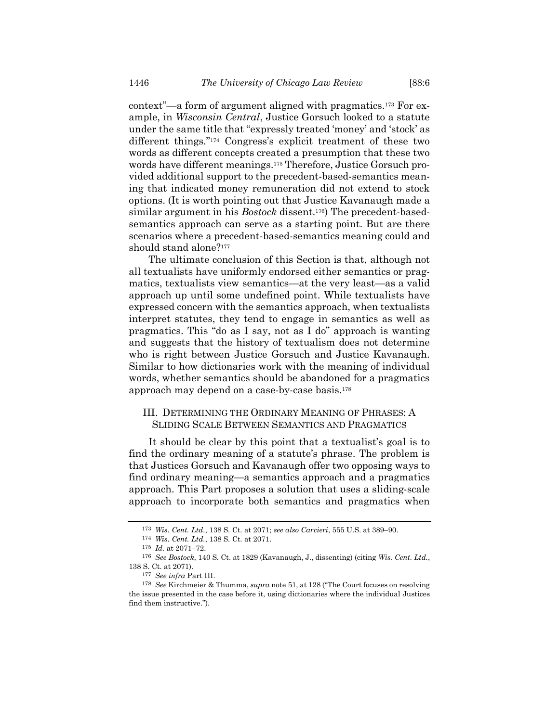context"—a form of argument aligned with pragmatics.<sup>173</sup> For example, in *Wisconsin Central*, Justice Gorsuch looked to a statute under the same title that "expressly treated 'money' and 'stock' as different things."<sup>174</sup> Congress's explicit treatment of these two words as different concepts created a presumption that these two words have different meanings.<sup>175</sup> Therefore, Justice Gorsuch provided additional support to the precedent-based-semantics meaning that indicated money remuneration did not extend to stock options. (It is worth pointing out that Justice Kavanaugh made a similar argument in his *Bostock* dissent.176) The precedent-basedsemantics approach can serve as a starting point. But are there scenarios where a precedent-based-semantics meaning could and should stand alone?<sup>177</sup>

The ultimate conclusion of this Section is that, although not all textualists have uniformly endorsed either semantics or pragmatics, textualists view semantics—at the very least—as a valid approach up until some undefined point. While textualists have expressed concern with the semantics approach, when textualists interpret statutes, they tend to engage in semantics as well as pragmatics. This "do as I say, not as I do" approach is wanting and suggests that the history of textualism does not determine who is right between Justice Gorsuch and Justice Kavanaugh. Similar to how dictionaries work with the meaning of individual words, whether semantics should be abandoned for a pragmatics approach may depend on a case-by-case basis.<sup>178</sup>

## III. DETERMINING THE ORDINARY MEANING OF PHRASES: A SLIDING SCALE BETWEEN SEMANTICS AND PRAGMATICS

It should be clear by this point that a textualist's goal is to find the ordinary meaning of a statute's phrase. The problem is that Justices Gorsuch and Kavanaugh offer two opposing ways to find ordinary meaning—a semantics approach and a pragmatics approach. This Part proposes a solution that uses a sliding-scale approach to incorporate both semantics and pragmatics when

<sup>173</sup> *Wis. Cent. Ltd.*, 138 S. Ct. at 2071; *see also Carcieri*, 555 U.S. at 389–90.

<sup>174</sup> *Wis. Cent. Ltd.*, 138 S. Ct. at 2071.

<sup>175</sup> *Id.* at 2071–72.

<sup>176</sup> *See Bostock*, 140 S. Ct. at 1829 (Kavanaugh, J., dissenting) (citing *Wis. Cent. Ltd.*, 138 S. Ct. at 2071).

<sup>177</sup> *See infra* Part III.

<sup>178</sup> *See* Kirchmeier & Thumma, *supra* note [51,](#page-11-2) at 128 ("The Court focuses on resolving the issue presented in the case before it, using dictionaries where the individual Justices find them instructive.").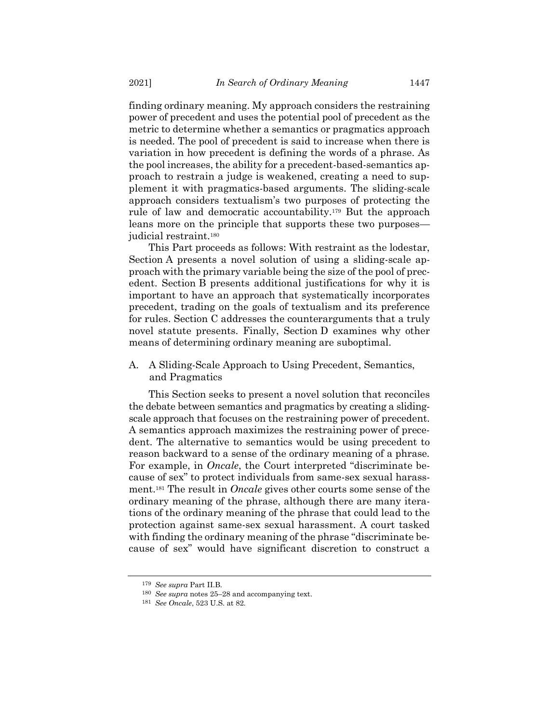finding ordinary meaning. My approach considers the restraining power of precedent and uses the potential pool of precedent as the metric to determine whether a semantics or pragmatics approach is needed. The pool of precedent is said to increase when there is variation in how precedent is defining the words of a phrase. As the pool increases, the ability for a precedent-based-semantics approach to restrain a judge is weakened, creating a need to supplement it with pragmatics-based arguments. The sliding-scale approach considers textualism's two purposes of protecting the rule of law and democratic accountability.<sup>179</sup> But the approach leans more on the principle that supports these two purposes judicial restraint.<sup>180</sup>

This Part proceeds as follows: With restraint as the lodestar, Section A presents a novel solution of using a sliding-scale approach with the primary variable being the size of the pool of precedent. Section B presents additional justifications for why it is important to have an approach that systematically incorporates precedent, trading on the goals of textualism and its preference for rules. Section C addresses the counterarguments that a truly novel statute presents. Finally, Section D examines why other means of determining ordinary meaning are suboptimal.

A. A Sliding-Scale Approach to Using Precedent, Semantics, and Pragmatics

This Section seeks to present a novel solution that reconciles the debate between semantics and pragmatics by creating a slidingscale approach that focuses on the restraining power of precedent. A semantics approach maximizes the restraining power of precedent. The alternative to semantics would be using precedent to reason backward to a sense of the ordinary meaning of a phrase. For example, in *Oncale*, the Court interpreted "discriminate because of sex" to protect individuals from same-sex sexual harassment.<sup>181</sup> The result in *Oncale* gives other courts some sense of the ordinary meaning of the phrase, although there are many iterations of the ordinary meaning of the phrase that could lead to the protection against same-sex sexual harassment. A court tasked with finding the ordinary meaning of the phrase "discriminate because of sex" would have significant discretion to construct a

<sup>179</sup> *See supra* Part II.B.

<sup>180</sup> *See supra* notes [25](#page-8-0)–[28](#page-8-1) and accompanying text.

<sup>181</sup> *See Oncale*, 523 U.S. at 82.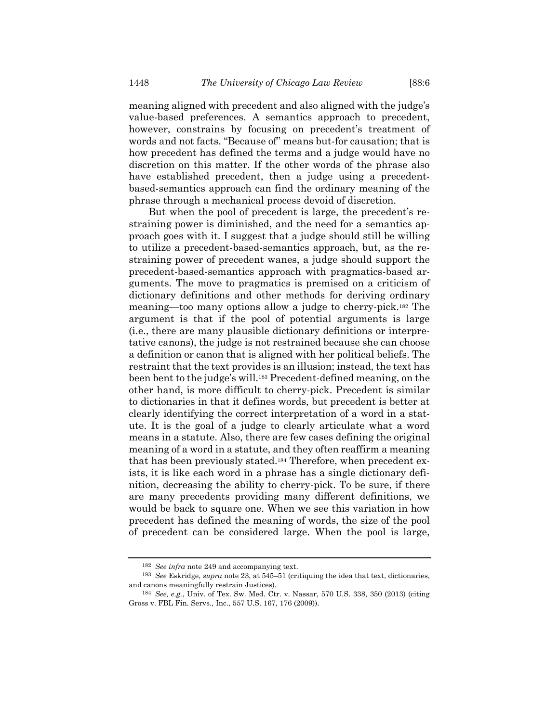meaning aligned with precedent and also aligned with the judge's value-based preferences. A semantics approach to precedent, however, constrains by focusing on precedent's treatment of words and not facts. "Because of" means but-for causation; that is how precedent has defined the terms and a judge would have no discretion on this matter. If the other words of the phrase also have established precedent, then a judge using a precedentbased-semantics approach can find the ordinary meaning of the phrase through a mechanical process devoid of discretion.

But when the pool of precedent is large, the precedent's restraining power is diminished, and the need for a semantics approach goes with it. I suggest that a judge should still be willing to utilize a precedent-based-semantics approach, but, as the restraining power of precedent wanes, a judge should support the precedent-based-semantics approach with pragmatics-based arguments. The move to pragmatics is premised on a criticism of dictionary definitions and other methods for deriving ordinary meaning—too many options allow a judge to cherry-pick.<sup>182</sup> The argument is that if the pool of potential arguments is large (i.e., there are many plausible dictionary definitions or interpretative canons), the judge is not restrained because she can choose a definition or canon that is aligned with her political beliefs. The restraint that the text provides is an illusion; instead, the text has been bent to the judge's will.<sup>183</sup> Precedent-defined meaning, on the other hand, is more difficult to cherry-pick. Precedent is similar to dictionaries in that it defines words, but precedent is better at clearly identifying the correct interpretation of a word in a statute. It is the goal of a judge to clearly articulate what a word means in a statute. Also, there are few cases defining the original meaning of a word in a statute, and they often reaffirm a meaning that has been previously stated.<sup>184</sup> Therefore, when precedent exists, it is like each word in a phrase has a single dictionary definition, decreasing the ability to cherry-pick. To be sure, if there are many precedents providing many different definitions, we would be back to square one. When we see this variation in how precedent has defined the meaning of words, the size of the pool of precedent can be considered large. When the pool is large,

<sup>182</sup> *See infra* note [249](#page-43-0) and accompanying text.

<sup>183</sup> *See* Eskridge, *supra* note [23,](#page-7-0) at 545–51 (critiquing the idea that text, dictionaries, and canons meaningfully restrain Justices).

<sup>184</sup> *See, e.g.*, Univ. of Tex. Sw. Med. Ctr. v. Nassar, 570 U.S. 338, 350 (2013) (citing Gross v. FBL Fin. Servs., Inc., 557 U.S. 167, 176 (2009)).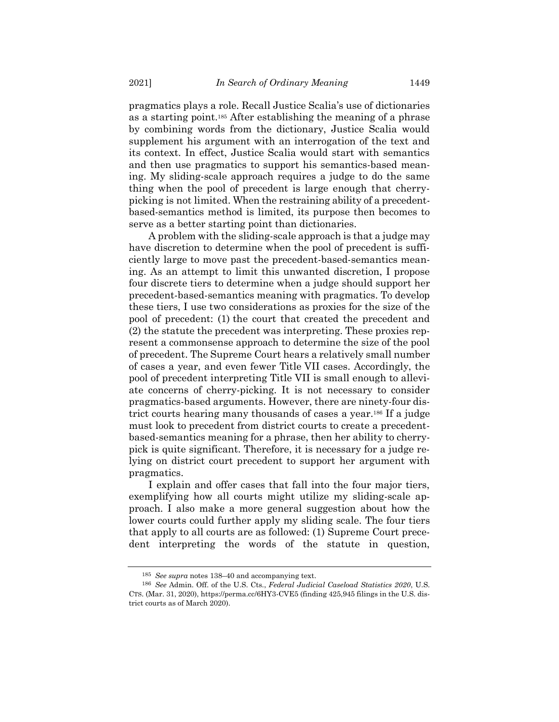pragmatics plays a role. Recall Justice Scalia's use of dictionaries as a starting point.<sup>185</sup> After establishing the meaning of a phrase by combining words from the dictionary, Justice Scalia would supplement his argument with an interrogation of the text and its context. In effect, Justice Scalia would start with semantics and then use pragmatics to support his semantics-based meaning. My sliding-scale approach requires a judge to do the same thing when the pool of precedent is large enough that cherrypicking is not limited. When the restraining ability of a precedentbased-semantics method is limited, its purpose then becomes to serve as a better starting point than dictionaries.

A problem with the sliding-scale approach is that a judge may have discretion to determine when the pool of precedent is sufficiently large to move past the precedent-based-semantics meaning. As an attempt to limit this unwanted discretion, I propose four discrete tiers to determine when a judge should support her precedent-based-semantics meaning with pragmatics. To develop these tiers, I use two considerations as proxies for the size of the pool of precedent: (1) the court that created the precedent and (2) the statute the precedent was interpreting. These proxies represent a commonsense approach to determine the size of the pool of precedent. The Supreme Court hears a relatively small number of cases a year, and even fewer Title VII cases. Accordingly, the pool of precedent interpreting Title VII is small enough to alleviate concerns of cherry-picking. It is not necessary to consider pragmatics-based arguments. However, there are ninety-four district courts hearing many thousands of cases a year. <sup>186</sup> If a judge must look to precedent from district courts to create a precedentbased-semantics meaning for a phrase, then her ability to cherrypick is quite significant. Therefore, it is necessary for a judge relying on district court precedent to support her argument with pragmatics.

I explain and offer cases that fall into the four major tiers, exemplifying how all courts might utilize my sliding-scale approach. I also make a more general suggestion about how the lower courts could further apply my sliding scale. The four tiers that apply to all courts are as followed: (1) Supreme Court precedent interpreting the words of the statute in question,

<sup>185</sup> *See supra* notes [138](#page-22-0)–40 and accompanying text.

<sup>186</sup> *See* Admin. Off. of the U.S. Cts., *Federal Judicial Caseload Statistics 2020*, U.S. CTS. (Mar. 31, 2020), https://perma.cc/6HY3-CVE5 (finding 425,945 filings in the U.S. district courts as of March 2020).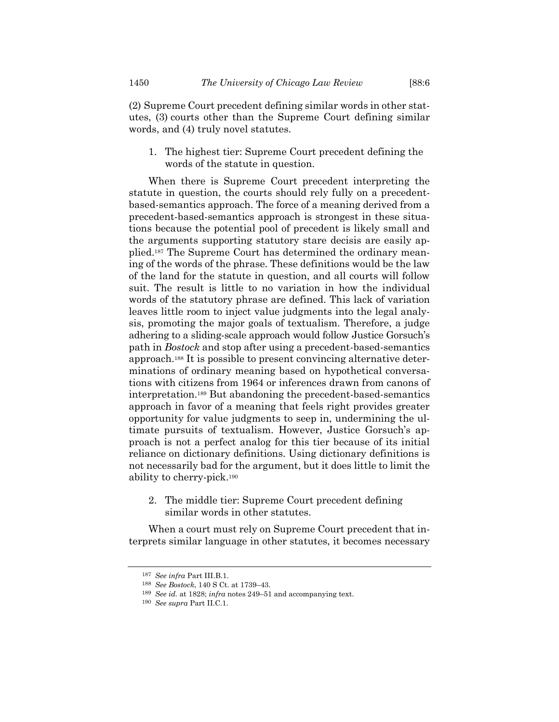words, and (4) truly novel statutes.

1. The highest tier: Supreme Court precedent defining the words of the statute in question.

When there is Supreme Court precedent interpreting the statute in question, the courts should rely fully on a precedentbased-semantics approach. The force of a meaning derived from a precedent-based-semantics approach is strongest in these situations because the potential pool of precedent is likely small and the arguments supporting statutory stare decisis are easily applied.<sup>187</sup> The Supreme Court has determined the ordinary meaning of the words of the phrase. These definitions would be the law of the land for the statute in question, and all courts will follow suit. The result is little to no variation in how the individual words of the statutory phrase are defined. This lack of variation leaves little room to inject value judgments into the legal analysis, promoting the major goals of textualism. Therefore, a judge adhering to a sliding-scale approach would follow Justice Gorsuch's path in *Bostock* and stop after using a precedent-based-semantics approach.<sup>188</sup> It is possible to present convincing alternative determinations of ordinary meaning based on hypothetical conversations with citizens from 1964 or inferences drawn from canons of interpretation.<sup>189</sup> But abandoning the precedent-based-semantics approach in favor of a meaning that feels right provides greater opportunity for value judgments to seep in, undermining the ultimate pursuits of textualism. However, Justice Gorsuch's approach is not a perfect analog for this tier because of its initial reliance on dictionary definitions. Using dictionary definitions is not necessarily bad for the argument, but it does little to limit the ability to cherry-pick. 190

2. The middle tier: Supreme Court precedent defining similar words in other statutes.

When a court must rely on Supreme Court precedent that interprets similar language in other statutes, it becomes necessary

<sup>187</sup> *See infra* Part III.B.1.

<sup>188</sup> *See Bostock*, 140 S Ct. at 1739–43.

<sup>189</sup> *See id.* at 1828; *infra* note[s 249](#page-43-0)–51 and accompanying text.

<sup>190</sup> *See supra* Part II.C.1.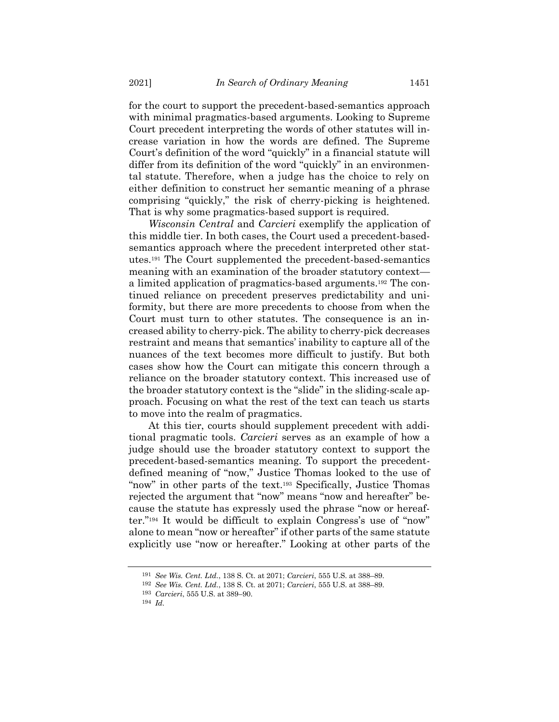for the court to support the precedent-based-semantics approach with minimal pragmatics-based arguments. Looking to Supreme Court precedent interpreting the words of other statutes will increase variation in how the words are defined. The Supreme Court's definition of the word "quickly" in a financial statute will differ from its definition of the word "quickly" in an environmental statute. Therefore, when a judge has the choice to rely on either definition to construct her semantic meaning of a phrase comprising "quickly," the risk of cherry-picking is heightened. That is why some pragmatics-based support is required.

*Wisconsin Central* and *Carcieri* exemplify the application of this middle tier. In both cases, the Court used a precedent-basedsemantics approach where the precedent interpreted other statutes.<sup>191</sup> The Court supplemented the precedent-based-semantics meaning with an examination of the broader statutory context a limited application of pragmatics-based arguments.<sup>192</sup> The continued reliance on precedent preserves predictability and uniformity, but there are more precedents to choose from when the Court must turn to other statutes. The consequence is an increased ability to cherry-pick. The ability to cherry-pick decreases restraint and means that semantics' inability to capture all of the nuances of the text becomes more difficult to justify. But both cases show how the Court can mitigate this concern through a reliance on the broader statutory context. This increased use of the broader statutory context is the "slide" in the sliding-scale approach. Focusing on what the rest of the text can teach us starts to move into the realm of pragmatics.

At this tier, courts should supplement precedent with additional pragmatic tools. *Carcieri* serves as an example of how a judge should use the broader statutory context to support the precedent-based-semantics meaning. To support the precedentdefined meaning of "now," Justice Thomas looked to the use of "now" in other parts of the text.<sup>193</sup> Specifically, Justice Thomas rejected the argument that "now" means "now and hereafter" because the statute has expressly used the phrase "now or hereafter."<sup>194</sup> It would be difficult to explain Congress's use of "now" alone to mean "now or hereafter" if other parts of the same statute explicitly use "now or hereafter." Looking at other parts of the

<sup>191</sup> *See Wis. Cent. Ltd.*, 138 S. Ct. at 2071; *Carcieri*, 555 U.S. at 388–89.

<sup>192</sup> *See Wis. Cent. Ltd.*, 138 S. Ct. at 2071; *Carcieri*, 555 U.S. at 388–89.

<sup>193</sup> *Carcieri*, 555 U.S. at 389–90.

<sup>194</sup> *Id.*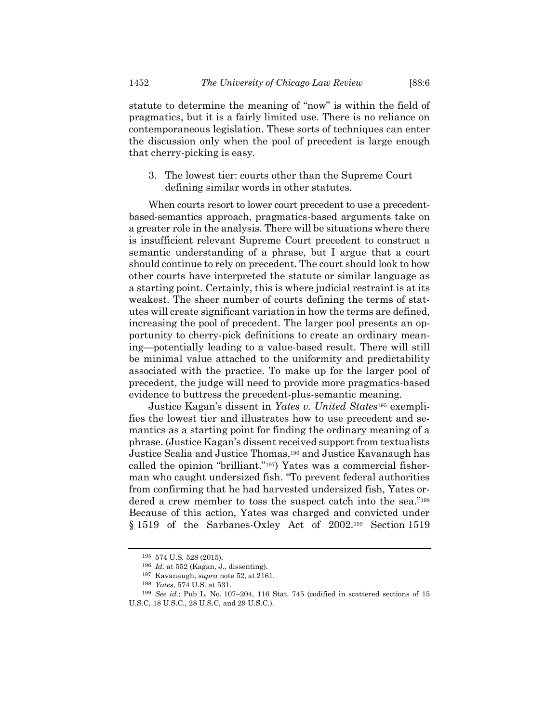statute to determine the meaning of "now" is within the field of pragmatics, but it is a fairly limited use. There is no reliance on contemporaneous legislation. These sorts of techniques can enter the discussion only when the pool of precedent is large enough that cherry-picking is easy.

3. The lowest tier: courts other than the Supreme Court defining similar words in other statutes.

When courts resort to lower court precedent to use a precedentbased-semantics approach, pragmatics-based arguments take on a greater role in the analysis. There will be situations where there is insufficient relevant Supreme Court precedent to construct a semantic understanding of a phrase, but I argue that a court should continue to rely on precedent. The court should look to how other courts have interpreted the statute or similar language as a starting point. Certainly, this is where judicial restraint is at its weakest. The sheer number of courts defining the terms of statutes will create significant variation in how the terms are defined, increasing the pool of precedent. The larger pool presents an opportunity to cherry-pick definitions to create an ordinary meaning—potentially leading to a value-based result. There will still be minimal value attached to the uniformity and predictability associated with the practice. To make up for the larger pool of precedent, the judge will need to provide more pragmatics-based evidence to buttress the precedent-plus-semantic meaning.

Justice Kagan's dissent in *Yates v. United States*<sup>195</sup> exemplifies the lowest tier and illustrates how to use precedent and semantics as a starting point for finding the ordinary meaning of a phrase. (Justice Kagan's dissent received support from textualists Justice Scalia and Justice Thomas, <sup>196</sup> and Justice Kavanaugh has called the opinion "brilliant."197) Yates was a commercial fisherman who caught undersized fish. "To prevent federal authorities from confirming that he had harvested undersized fish, Yates ordered a crew member to toss the suspect catch into the sea."<sup>198</sup> Because of this action, Yates was charged and convicted under § 1519 of the Sarbanes-Oxley Act of 2002.<sup>199</sup> Section 1519

<sup>195</sup> 574 U.S. 528 (2015).

<sup>196</sup> *Id.* at 552 (Kagan, J., dissenting).

<sup>197</sup> Kavanaugh, *supra* note [52,](#page-11-0) at 2161.

<sup>198</sup> *Yates*, 574 U.S. at 531.

<sup>199</sup> *See id.*; Pub L. No. 107–204, 116 Stat. 745 (codified in scattered sections of 15 U.S.C, 18 U.S.C., 28 U.S.C, and 29 U.S.C.).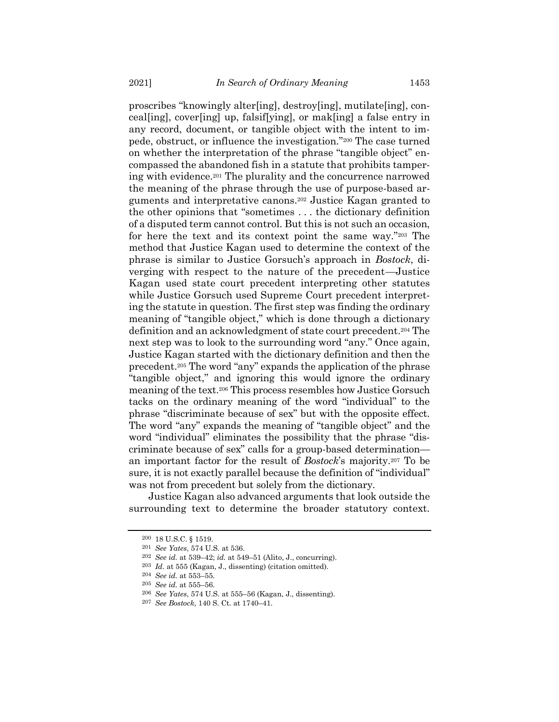proscribes "knowingly alter[ing], destroy[ing], mutilate[ing], conceal[ing], cover[ing] up, falsif[ying], or mak[ing] a false entry in any record, document, or tangible object with the intent to impede, obstruct, or influence the investigation."<sup>200</sup> The case turned on whether the interpretation of the phrase "tangible object" encompassed the abandoned fish in a statute that prohibits tampering with evidence.<sup>201</sup> The plurality and the concurrence narrowed the meaning of the phrase through the use of purpose-based arguments and interpretative canons.<sup>202</sup> Justice Kagan granted to the other opinions that "sometimes . . . the dictionary definition of a disputed term cannot control. But this is not such an occasion, for here the text and its context point the same way."<sup>203</sup> The method that Justice Kagan used to determine the context of the phrase is similar to Justice Gorsuch's approach in *Bostock*, diverging with respect to the nature of the precedent—Justice Kagan used state court precedent interpreting other statutes while Justice Gorsuch used Supreme Court precedent interpreting the statute in question. The first step was finding the ordinary meaning of "tangible object," which is done through a dictionary definition and an acknowledgment of state court precedent.<sup>204</sup> The next step was to look to the surrounding word "any." Once again, Justice Kagan started with the dictionary definition and then the precedent.<sup>205</sup> The word "any" expands the application of the phrase "tangible object," and ignoring this would ignore the ordinary meaning of the text.<sup>206</sup> This process resembles how Justice Gorsuch tacks on the ordinary meaning of the word "individual" to the phrase "discriminate because of sex" but with the opposite effect. The word "any" expands the meaning of "tangible object" and the word "individual" eliminates the possibility that the phrase "discriminate because of sex" calls for a group-based determination an important factor for the result of *Bostock*'s majority.<sup>207</sup> To be sure, it is not exactly parallel because the definition of "individual" was not from precedent but solely from the dictionary.

Justice Kagan also advanced arguments that look outside the surrounding text to determine the broader statutory context.

<sup>200</sup> 18 U.S.C. § 1519.

<sup>201</sup> *See Yates*, 574 U.S. at 536.

<sup>202</sup> *See id.* at 539–42; *id.* at 549–51 (Alito, J., concurring).

<sup>203</sup> *Id.* at 555 (Kagan, J., dissenting) (citation omitted).

<sup>204</sup> *See id.* at 553–55.

<sup>205</sup> *See id.* at 555–56.

<sup>206</sup> *See Yates*, 574 U.S. at 555–56 (Kagan, J., dissenting).

<sup>207</sup> *See Bostock*, 140 S. Ct. at 1740–41.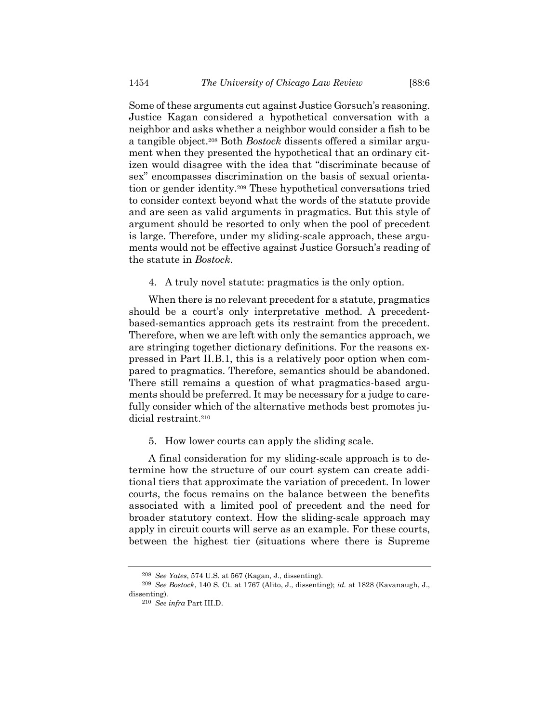Some of these arguments cut against Justice Gorsuch's reasoning. Justice Kagan considered a hypothetical conversation with a neighbor and asks whether a neighbor would consider a fish to be a tangible object.<sup>208</sup> Both *Bostock* dissents offered a similar argument when they presented the hypothetical that an ordinary citizen would disagree with the idea that "discriminate because of sex" encompasses discrimination on the basis of sexual orientation or gender identity.<sup>209</sup> These hypothetical conversations tried to consider context beyond what the words of the statute provide and are seen as valid arguments in pragmatics. But this style of argument should be resorted to only when the pool of precedent is large. Therefore, under my sliding-scale approach, these arguments would not be effective against Justice Gorsuch's reading of the statute in *Bostock*.

4. A truly novel statute: pragmatics is the only option.

When there is no relevant precedent for a statute, pragmatics should be a court's only interpretative method. A precedentbased-semantics approach gets its restraint from the precedent. Therefore, when we are left with only the semantics approach, we are stringing together dictionary definitions. For the reasons expressed in Part II.B.1, this is a relatively poor option when compared to pragmatics. Therefore, semantics should be abandoned. There still remains a question of what pragmatics-based arguments should be preferred. It may be necessary for a judge to carefully consider which of the alternative methods best promotes judicial restraint.<sup>210</sup>

5. How lower courts can apply the sliding scale.

A final consideration for my sliding-scale approach is to determine how the structure of our court system can create additional tiers that approximate the variation of precedent. In lower courts, the focus remains on the balance between the benefits associated with a limited pool of precedent and the need for broader statutory context. How the sliding-scale approach may apply in circuit courts will serve as an example. For these courts, between the highest tier (situations where there is Supreme

<sup>208</sup> *See Yates*, 574 U.S. at 567 (Kagan, J., dissenting).

<sup>209</sup> *See Bostock*, 140 S. Ct. at 1767 (Alito, J., dissenting); *id.* at 1828 (Kavanaugh, J., dissenting).

<sup>210</sup> *See infra* Part III.D.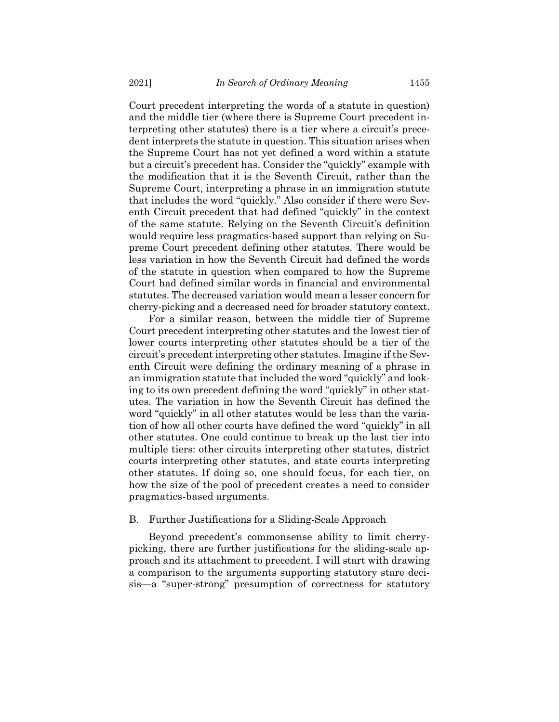Court precedent interpreting the words of a statute in question) and the middle tier (where there is Supreme Court precedent interpreting other statutes) there is a tier where a circuit's precedent interprets the statute in question. This situation arises when the Supreme Court has not yet defined a word within a statute but a circuit's precedent has. Consider the "quickly" example with the modification that it is the Seventh Circuit, rather than the Supreme Court, interpreting a phrase in an immigration statute that includes the word "quickly." Also consider if there were Seventh Circuit precedent that had defined "quickly" in the context of the same statute. Relying on the Seventh Circuit's definition would require less pragmatics-based support than relying on Supreme Court precedent defining other statutes. There would be less variation in how the Seventh Circuit had defined the words of the statute in question when compared to how the Supreme Court had defined similar words in financial and environmental statutes. The decreased variation would mean a lesser concern for cherry-picking and a decreased need for broader statutory context.

For a similar reason, between the middle tier of Supreme Court precedent interpreting other statutes and the lowest tier of lower courts interpreting other statutes should be a tier of the circuit's precedent interpreting other statutes. Imagine if the Seventh Circuit were defining the ordinary meaning of a phrase in an immigration statute that included the word "quickly" and looking to its own precedent defining the word "quickly" in other statutes. The variation in how the Seventh Circuit has defined the word "quickly" in all other statutes would be less than the variation of how all other courts have defined the word "quickly" in all other statutes. One could continue to break up the last tier into multiple tiers: other circuits interpreting other statutes, district courts interpreting other statutes, and state courts interpreting other statutes. If doing so, one should focus, for each tier, on how the size of the pool of precedent creates a need to consider pragmatics-based arguments.

#### B. Further Justifications for a Sliding-Scale Approach

Beyond precedent's commonsense ability to limit cherrypicking, there are further justifications for the sliding-scale approach and its attachment to precedent. I will start with drawing a comparison to the arguments supporting statutory stare decisis—a "super-strong" presumption of correctness for statutory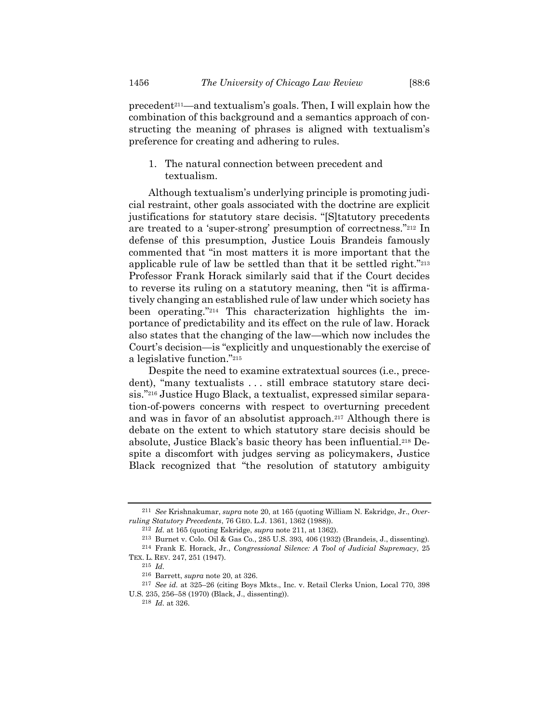<span id="page-37-0"></span>precedent211—and textualism's goals. Then, I will explain how the combination of this background and a semantics approach of constructing the meaning of phrases is aligned with textualism's preference for creating and adhering to rules.

1. The natural connection between precedent and textualism.

Although textualism's underlying principle is promoting judicial restraint, other goals associated with the doctrine are explicit justifications for statutory stare decisis. "[S]tatutory precedents are treated to a 'super-strong' presumption of correctness."<sup>212</sup> In defense of this presumption, Justice Louis Brandeis famously commented that "in most matters it is more important that the applicable rule of law be settled than that it be settled right."<sup>213</sup> Professor Frank Horack similarly said that if the Court decides to reverse its ruling on a statutory meaning, then "it is affirmatively changing an established rule of law under which society has been operating."<sup>214</sup> This characterization highlights the importance of predictability and its effect on the rule of law. Horack also states that the changing of the law—which now includes the Court's decision—is "explicitly and unquestionably the exercise of a legislative function."<sup>215</sup>

Despite the need to examine extratextual sources (i.e., precedent), "many textualists . . . still embrace statutory stare decisis."<sup>216</sup> Justice Hugo Black, a textualist, expressed similar separation-of-powers concerns with respect to overturning precedent and was in favor of an absolutist approach.<sup>217</sup> Although there is debate on the extent to which statutory stare decisis should be absolute, Justice Black's basic theory has been influential.<sup>218</sup> Despite a discomfort with judges serving as policymakers, Justice Black recognized that "the resolution of statutory ambiguity

<sup>211</sup> *See* Krishnakumar, *supra* note [20,](#page-6-0) at 165 (quoting William N. Eskridge, Jr., *Overruling Statutory Precedents*, 76 GEO. L.J. 1361, 1362 (1988)).

<sup>212</sup> *Id.* at 165 (quoting Eskridge, *supra* note [211,](#page-37-0) at 1362).

<sup>213</sup> Burnet v. Colo. Oil & Gas Co., 285 U.S. 393, 406 (1932) (Brandeis, J., dissenting). 214 Frank E. Horack, Jr., *Congressional Silence: A Tool of Judicial Supremacy*, 25 TEX. L. REV. 247, 251 (1947).

<sup>215</sup> *Id.*

<sup>216</sup> Barrett, *supra* note [20,](#page-6-0) at 326.

<sup>217</sup> *See id.* at 325–26 (citing Boys Mkts., Inc. v. Retail Clerks Union, Local 770, 398 U.S. 235, 256–58 (1970) (Black, J., dissenting)).

<sup>218</sup> *Id.* at 326.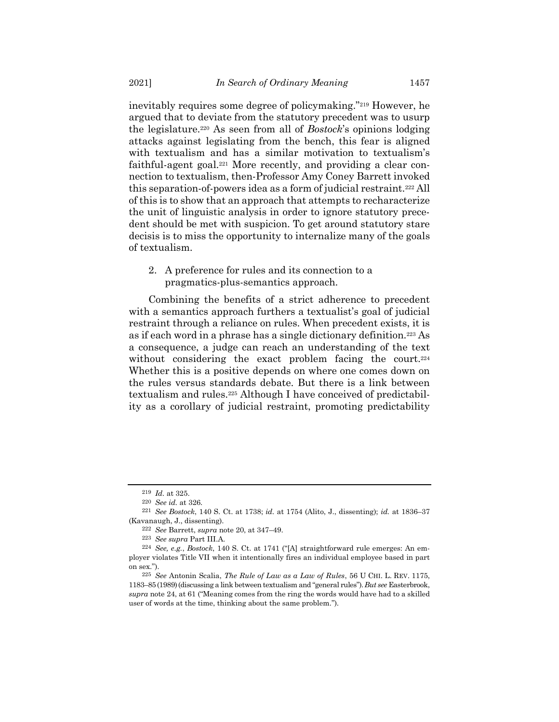inevitably requires some degree of policymaking."<sup>219</sup> However, he argued that to deviate from the statutory precedent was to usurp the legislature.<sup>220</sup> As seen from all of *Bostock*'s opinions lodging attacks against legislating from the bench, this fear is aligned with textualism and has a similar motivation to textualism's faithful-agent goal.<sup>221</sup> More recently, and providing a clear connection to textualism, then-Professor Amy Coney Barrett invoked this separation-of-powers idea as a form of judicial restraint.<sup>222</sup> All of this is to show that an approach that attempts to recharacterize the unit of linguistic analysis in order to ignore statutory precedent should be met with suspicion. To get around statutory stare decisis is to miss the opportunity to internalize many of the goals of textualism.

2. A preference for rules and its connection to a pragmatics-plus-semantics approach.

Combining the benefits of a strict adherence to precedent with a semantics approach furthers a textualist's goal of judicial restraint through a reliance on rules. When precedent exists, it is as if each word in a phrase has a single dictionary definition.<sup>223</sup> As a consequence, a judge can reach an understanding of the text without considering the exact problem facing the court.<sup>224</sup> Whether this is a positive depends on where one comes down on the rules versus standards debate. But there is a link between textualism and rules.<sup>225</sup> Although I have conceived of predictability as a corollary of judicial restraint, promoting predictability

<span id="page-38-0"></span><sup>219</sup> *Id.* at 325.

<sup>220</sup> *See id.* at 326.

<sup>221</sup> *See Bostock*, 140 S. Ct. at 1738; *id.* at 1754 (Alito, J., dissenting); *id.* at 1836–37 (Kavanaugh, J., dissenting).

<sup>222</sup> *See* Barrett, *supra* note 20, at 347–49.

<sup>223</sup> *See supra* Part III.A.

<sup>224</sup> *See, e.g.*, *Bostock*, 140 S. Ct. at 1741 ("[A] straightforward rule emerges: An employer violates Title VII when it intentionally fires an individual employee based in part on sex.").

<sup>225</sup> *See* Antonin Scalia, *The Rule of Law as a Law of Rules*, 56 U CHI. L. REV. 1175, 1183–85(1989)(discussing a link between textualism and "general rules").*But see* Easterbrook, *supra* note [24,](#page-7-1) at 61 ("Meaning comes from the ring the words would have had to a skilled user of words at the time, thinking about the same problem.").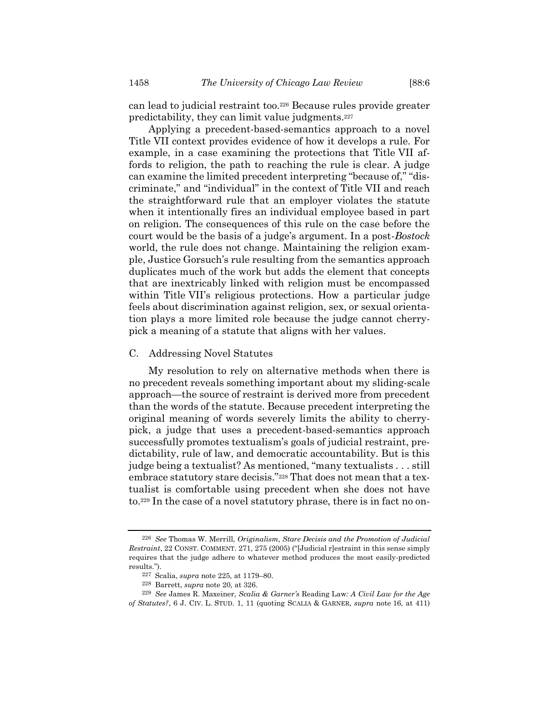can lead to judicial restraint too. <sup>226</sup> Because rules provide greater predictability, they can limit value judgments.<sup>227</sup>

Applying a precedent-based-semantics approach to a novel Title VII context provides evidence of how it develops a rule. For example, in a case examining the protections that Title VII affords to religion, the path to reaching the rule is clear. A judge can examine the limited precedent interpreting "because of," "discriminate," and "individual" in the context of Title VII and reach the straightforward rule that an employer violates the statute when it intentionally fires an individual employee based in part on religion. The consequences of this rule on the case before the court would be the basis of a judge's argument. In a post-*Bostock* world, the rule does not change. Maintaining the religion example, Justice Gorsuch's rule resulting from the semantics approach duplicates much of the work but adds the element that concepts that are inextricably linked with religion must be encompassed within Title VII's religious protections. How a particular judge feels about discrimination against religion, sex, or sexual orientation plays a more limited role because the judge cannot cherrypick a meaning of a statute that aligns with her values.

#### C. Addressing Novel Statutes

My resolution to rely on alternative methods when there is no precedent reveals something important about my sliding-scale approach—the source of restraint is derived more from precedent than the words of the statute. Because precedent interpreting the original meaning of words severely limits the ability to cherrypick, a judge that uses a precedent-based-semantics approach successfully promotes textualism's goals of judicial restraint, predictability, rule of law, and democratic accountability. But is this judge being a textualist? As mentioned, "many textualists . . . still embrace statutory stare decisis."<sup>228</sup> That does not mean that a textualist is comfortable using precedent when she does not have to.<sup>229</sup> In the case of a novel statutory phrase, there is in fact no on-

<sup>226</sup> *See* Thomas W. Merrill, *Originalism, Stare Decisis and the Promotion of Judicial Restraint*, 22 CONST. COMMENT. 271, 275 (2005) ("Judicial r]estraint in this sense simply requires that the judge adhere to whatever method produces the most easily-predicted results.").

<sup>227</sup> Scalia, *supra* note [225,](#page-38-0) at 1179–80.

<sup>228</sup> Barrett, *supra* note [20,](#page-6-0) at 326.

<sup>229</sup> *See* James R. Maxeiner, *Scalia & Garner's* Reading Law*: A Civil Law for the Age of Statutes?*, 6 J. CIV. L. STUD. 1, 11 (quoting SCALIA & GARNER, *supra* note [16,](#page-3-0) at 411)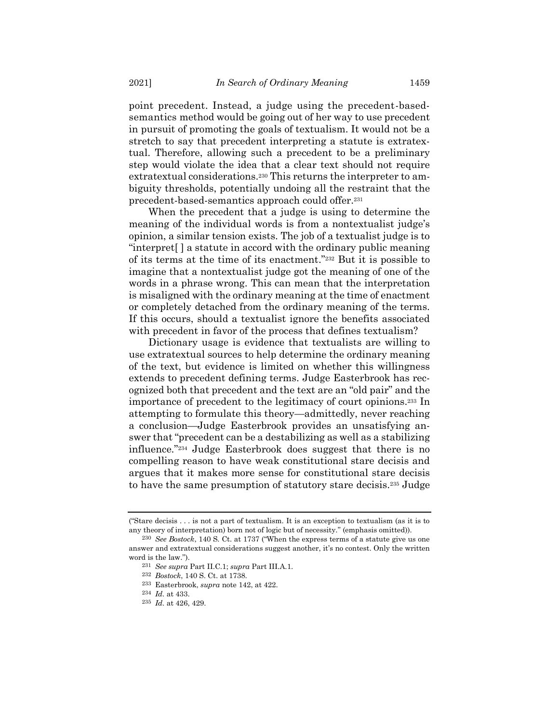point precedent. Instead, a judge using the precedent-basedsemantics method would be going out of her way to use precedent in pursuit of promoting the goals of textualism. It would not be a stretch to say that precedent interpreting a statute is extratextual. Therefore, allowing such a precedent to be a preliminary step would violate the idea that a clear text should not require extratextual considerations.<sup>230</sup> This returns the interpreter to ambiguity thresholds, potentially undoing all the restraint that the precedent-based-semantics approach could offer.<sup>231</sup>

When the precedent that a judge is using to determine the meaning of the individual words is from a nontextualist judge's opinion, a similar tension exists. The job of a textualist judge is to "interpret[ ] a statute in accord with the ordinary public meaning of its terms at the time of its enactment."<sup>232</sup> But it is possible to imagine that a nontextualist judge got the meaning of one of the words in a phrase wrong. This can mean that the interpretation is misaligned with the ordinary meaning at the time of enactment or completely detached from the ordinary meaning of the terms. If this occurs, should a textualist ignore the benefits associated with precedent in favor of the process that defines textualism?

Dictionary usage is evidence that textualists are willing to use extratextual sources to help determine the ordinary meaning of the text, but evidence is limited on whether this willingness extends to precedent defining terms. Judge Easterbrook has recognized both that precedent and the text are an "old pair" and the importance of precedent to the legitimacy of court opinions.<sup>233</sup> In attempting to formulate this theory—admittedly, never reaching a conclusion—Judge Easterbrook provides an unsatisfying answer that "precedent can be a destabilizing as well as a stabilizing influence."<sup>234</sup> Judge Easterbrook does suggest that there is no compelling reason to have weak constitutional stare decisis and argues that it makes more sense for constitutional stare decisis to have the same presumption of statutory stare decisis.<sup>235</sup> Judge

<sup>(</sup>"Stare decisis . . . is not a part of textualism. It is an exception to textualism (as it is to any theory of interpretation) born not of logic but of necessity." (emphasis omitted)).

<sup>230</sup> *See Bostock*, 140 S. Ct. at 1737 ("When the express terms of a statute give us one answer and extratextual considerations suggest another, it's no contest. Only the written word is the law.").

<sup>231</sup> *See supra* Part II.C.1; *supra* Part III.A.1.

<sup>232</sup> *Bostock*, 140 S. Ct. at 1738.

<sup>233</sup> Easterbrook, *supra* note [142,](#page-23-0) at 422.

<sup>234</sup> *Id.* at 433.

<sup>235</sup> *Id.* at 426, 429.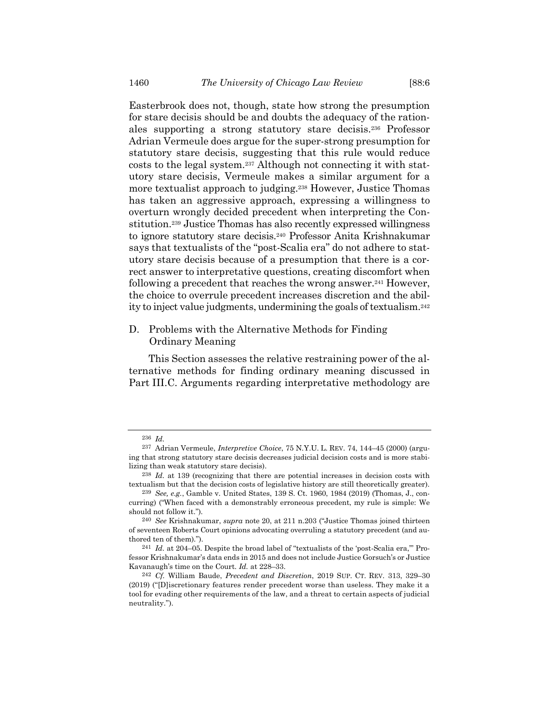Easterbrook does not, though, state how strong the presumption for stare decisis should be and doubts the adequacy of the rationales supporting a strong statutory stare decisis.<sup>236</sup> Professor Adrian Vermeule does argue for the super-strong presumption for statutory stare decisis, suggesting that this rule would reduce costs to the legal system.<sup>237</sup> Although not connecting it with statutory stare decisis, Vermeule makes a similar argument for a more textualist approach to judging.<sup>238</sup> However, Justice Thomas has taken an aggressive approach, expressing a willingness to overturn wrongly decided precedent when interpreting the Constitution. <sup>239</sup> Justice Thomas has also recently expressed willingness to ignore statutory stare decisis.<sup>240</sup> Professor Anita Krishnakumar says that textualists of the "post-Scalia era" do not adhere to statutory stare decisis because of a presumption that there is a correct answer to interpretative questions, creating discomfort when following a precedent that reaches the wrong answer.<sup>241</sup> However, the choice to overrule precedent increases discretion and the ability to inject value judgments, undermining the goals of textualism. 242

## D. Problems with the Alternative Methods for Finding Ordinary Meaning

This Section assesses the relative restraining power of the alternative methods for finding ordinary meaning discussed in Part III.C. Arguments regarding interpretative methodology are

<sup>236</sup> *Id.*

<sup>237</sup> Adrian Vermeule, *Interpretive Choice*, 75 N.Y.U. L. REV. 74, 144–45 (2000) (arguing that strong statutory stare decisis decreases judicial decision costs and is more stabilizing than weak statutory stare decisis).

<sup>238</sup> *Id.* at 139 (recognizing that there are potential increases in decision costs with textualism but that the decision costs of legislative history are still theoretically greater).

<sup>239</sup> *See, e.g.*, Gamble v. United States, 139 S. Ct. 1960, 1984 (2019) (Thomas, J., concurring) ("When faced with a demonstrably erroneous precedent, my rule is simple: We should not follow it.").

<sup>240</sup> *See* Krishnakumar, *supra* note [20,](#page-6-0) at 211 n.203 ("Justice Thomas joined thirteen of seventeen Roberts Court opinions advocating overruling a statutory precedent (and authored ten of them).").

<sup>241</sup> *Id.* at 204–05. Despite the broad label of "textualists of the 'post-Scalia era,'" Professor Krishnakumar's data ends in 2015 and does not include Justice Gorsuch's or Justice Kavanaugh's time on the Court. *Id.* at 228–33.

<sup>242</sup> *Cf.* William Baude, *Precedent and Discretion*, 2019 SUP. CT. REV. 313, 329–30 (2019) ("[D]iscretionary features render precedent worse than useless. They make it a tool for evading other requirements of the law, and a threat to certain aspects of judicial neutrality.").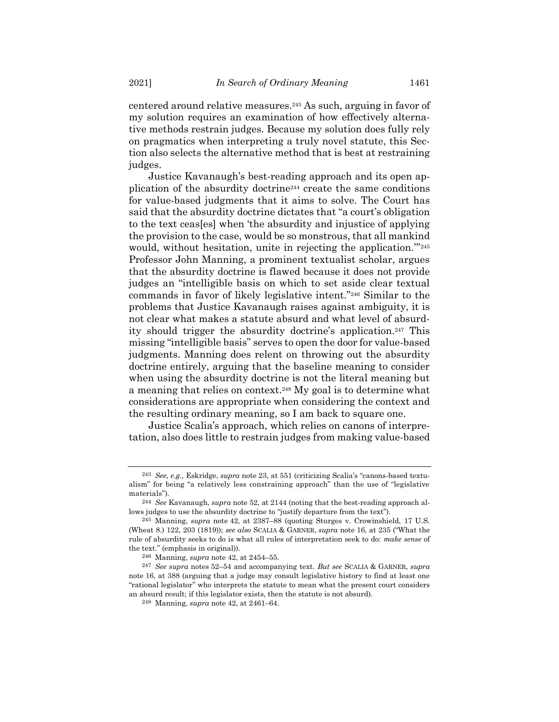centered around relative measures.<sup>243</sup> As such, arguing in favor of my solution requires an examination of how effectively alternative methods restrain judges. Because my solution does fully rely on pragmatics when interpreting a truly novel statute, this Section also selects the alternative method that is best at restraining judges.

Justice Kavanaugh's best-reading approach and its open application of the absurdity doctrine<sup>244</sup> create the same conditions for value-based judgments that it aims to solve. The Court has said that the absurdity doctrine dictates that "a court's obligation to the text ceas[es] when 'the absurdity and injustice of applying the provision to the case, would be so monstrous, that all mankind would, without hesitation, unite in rejecting the application."<sup>245</sup> Professor John Manning, a prominent textualist scholar, argues that the absurdity doctrine is flawed because it does not provide judges an "intelligible basis on which to set aside clear textual commands in favor of likely legislative intent."<sup>246</sup> Similar to the problems that Justice Kavanaugh raises against ambiguity, it is not clear what makes a statute absurd and what level of absurdity should trigger the absurdity doctrine's application.<sup>247</sup> This missing "intelligible basis" serves to open the door for value-based judgments. Manning does relent on throwing out the absurdity doctrine entirely, arguing that the baseline meaning to consider when using the absurdity doctrine is not the literal meaning but a meaning that relies on context.<sup>248</sup> My goal is to determine what considerations are appropriate when considering the context and the resulting ordinary meaning, so I am back to square one.

Justice Scalia's approach, which relies on canons of interpretation, also does little to restrain judges from making value-based

<sup>243</sup> *See, e.g.,* Eskridge, *supra* note [23,](#page-7-0) at 551 (criticizing Scalia's "canons-based textualism" for being "a relatively less constraining approach" than the use of "legislative materials").

<sup>244</sup> *See* Kavanaugh, *supra* note [52,](#page-11-0) at 2144 (noting that the best-reading approach allows judges to use the absurdity doctrine to "justify departure from the text").

<sup>245</sup> Manning, *supra* note [42,](#page-10-0) at 2387–88 (quoting Sturges v. Crowinshield, 17 U.S. (Wheat 8.) 122, 203 (1819)); *see also* SCALIA & GARNER, *supra* note [16,](#page-3-0) at 235 ("What the rule of absurdity seeks to do is what all rules of interpretation seek to do: *make sense* of the text." (emphasis in original)).

<sup>246</sup> Manning, *supra* note [42,](#page-10-0) at 2454–55.

<sup>247</sup> *See supra* notes [52](#page-11-0)–[54](#page-11-1) and accompanying text. *But see* SCALIA & GARNER, *supra* note [16,](#page-3-0) at 388 (arguing that a judge may consult legislative history to find at least one "rational legislator" who interprets the statute to mean what the present court considers an absurd result; if this legislator exists, then the statute is not absurd).

<sup>248</sup> Manning, *supra* note [42,](#page-10-0) at 2461–64.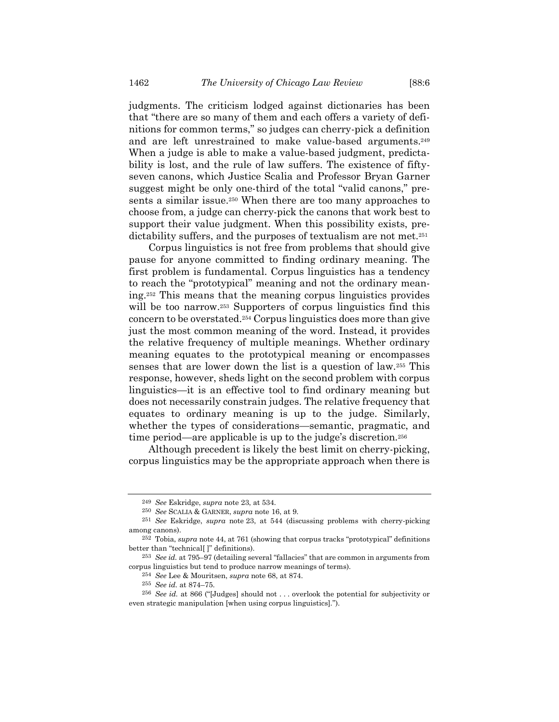<span id="page-43-0"></span>judgments. The criticism lodged against dictionaries has been that "there are so many of them and each offers a variety of definitions for common terms," so judges can cherry-pick a definition and are left unrestrained to make value-based arguments. 249 When a judge is able to make a value-based judgment, predictability is lost, and the rule of law suffers. The existence of fiftyseven canons, which Justice Scalia and Professor Bryan Garner suggest might be only one-third of the total "valid canons," presents a similar issue.<sup>250</sup> When there are too many approaches to choose from, a judge can cherry-pick the canons that work best to support their value judgment. When this possibility exists, predictability suffers, and the purposes of textualism are not met.<sup>251</sup>

Corpus linguistics is not free from problems that should give pause for anyone committed to finding ordinary meaning. The first problem is fundamental. Corpus linguistics has a tendency to reach the "prototypical" meaning and not the ordinary meaning.<sup>252</sup> This means that the meaning corpus linguistics provides will be too narrow.<sup>253</sup> Supporters of corpus linguistics find this concern to be overstated.<sup>254</sup> Corpus linguistics does more than give just the most common meaning of the word. Instead, it provides the relative frequency of multiple meanings. Whether ordinary meaning equates to the prototypical meaning or encompasses senses that are lower down the list is a question of law.<sup>255</sup> This response, however, sheds light on the second problem with corpus linguistics—it is an effective tool to find ordinary meaning but does not necessarily constrain judges. The relative frequency that equates to ordinary meaning is up to the judge. Similarly, whether the types of considerations—semantic, pragmatic, and time period—are applicable is up to the judge's discretion.<sup>256</sup>

Although precedent is likely the best limit on cherry-picking, corpus linguistics may be the appropriate approach when there is

<sup>249</sup> *See* Eskridge, *supra* note [23,](#page-7-0) at 534.

<sup>250</sup> *See* SCALIA & GARNER, *supra* note [16,](#page-3-0) at 9.

<sup>251</sup> *See* Eskridge, *supra* note [23,](#page-7-0) at 544 (discussing problems with cherry-picking among canons).

<sup>252</sup> Tobia, *supra* not[e 44,](#page-10-1) at 761 (showing that corpus tracks "prototypical" definitions better than "technical[ ]" definitions).

<sup>253</sup> *See id.* at 795–97 (detailing several "fallacies" that are common in arguments from corpus linguistics but tend to produce narrow meanings of terms).

<sup>254</sup> *See* Lee & Mouritsen, *supra* note [68,](#page-13-0) at 874.

<sup>255</sup> *See id.* at 874–75.

<sup>256</sup> *See id.* at 866 ("[Judges] should not . . . overlook the potential for subjectivity or even strategic manipulation [when using corpus linguistics].").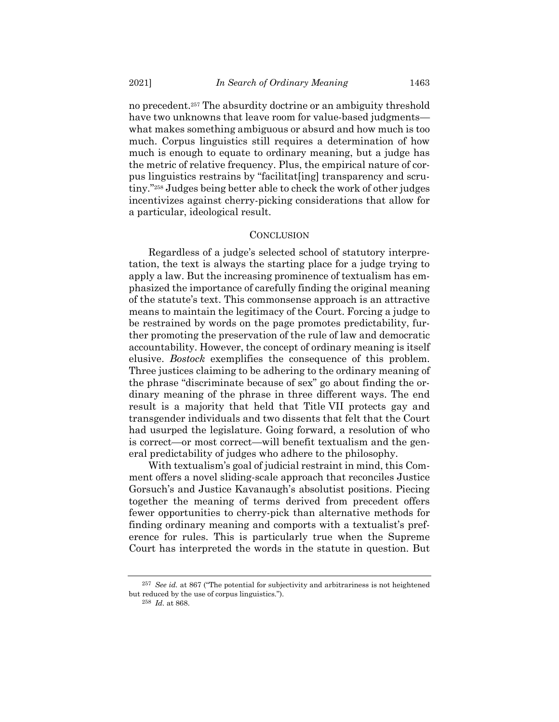no precedent.<sup>257</sup> The absurdity doctrine or an ambiguity threshold have two unknowns that leave room for value-based judgments what makes something ambiguous or absurd and how much is too much. Corpus linguistics still requires a determination of how much is enough to equate to ordinary meaning, but a judge has the metric of relative frequency. Plus, the empirical nature of corpus linguistics restrains by "facilitat[ing] transparency and scrutiny."<sup>258</sup> Judges being better able to check the work of other judges incentivizes against cherry-picking considerations that allow for a particular, ideological result.

### **CONCLUSION**

Regardless of a judge's selected school of statutory interpretation, the text is always the starting place for a judge trying to apply a law. But the increasing prominence of textualism has emphasized the importance of carefully finding the original meaning of the statute's text. This commonsense approach is an attractive means to maintain the legitimacy of the Court. Forcing a judge to be restrained by words on the page promotes predictability, further promoting the preservation of the rule of law and democratic accountability. However, the concept of ordinary meaning is itself elusive. *Bostock* exemplifies the consequence of this problem. Three justices claiming to be adhering to the ordinary meaning of the phrase "discriminate because of sex" go about finding the ordinary meaning of the phrase in three different ways. The end result is a majority that held that Title VII protects gay and transgender individuals and two dissents that felt that the Court had usurped the legislature. Going forward, a resolution of who is correct—or most correct—will benefit textualism and the general predictability of judges who adhere to the philosophy.

With textualism's goal of judicial restraint in mind, this Comment offers a novel sliding-scale approach that reconciles Justice Gorsuch's and Justice Kavanaugh's absolutist positions. Piecing together the meaning of terms derived from precedent offers fewer opportunities to cherry-pick than alternative methods for finding ordinary meaning and comports with a textualist's preference for rules. This is particularly true when the Supreme Court has interpreted the words in the statute in question. But

<sup>257</sup> *See id.* at 867 ("The potential for subjectivity and arbitrariness is not heightened but reduced by the use of corpus linguistics.").

<sup>258</sup> *Id.* at 868.